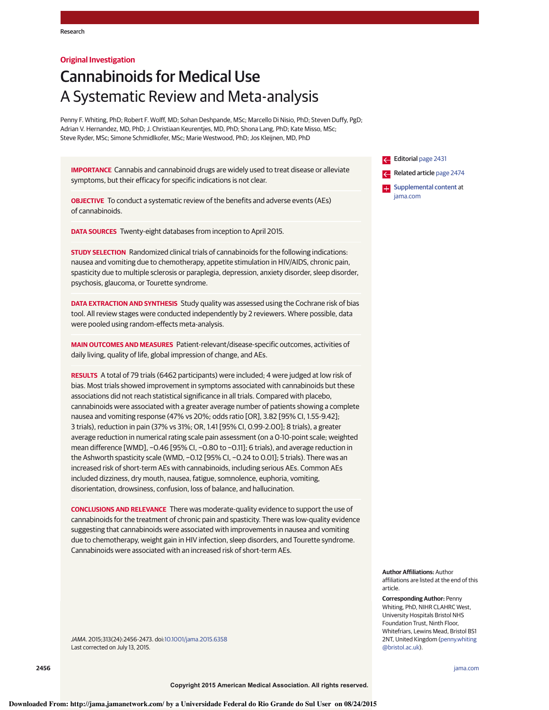## **Original Investigation**

# Cannabinoids for Medical Use A Systematic Review and Meta-analysis

Penny F. Whiting, PhD; Robert F. Wolff, MD; Sohan Deshpande, MSc; Marcello Di Nisio, PhD; Steven Duffy, PgD; Adrian V. Hernandez, MD, PhD; J. Christiaan Keurentjes, MD, PhD; Shona Lang, PhD; Kate Misso, MSc; Steve Ryder, MSc; Simone Schmidlkofer, MSc; Marie Westwood, PhD; Jos Kleijnen, MD, PhD

**IMPORTANCE** Cannabis and cannabinoid drugs are widely used to treat disease or alleviate symptoms, but their efficacy for specific indications is not clear.

**OBJECTIVE** To conduct a systematic review of the benefits and adverse events (AEs) of cannabinoids.

**DATA SOURCES** Twenty-eight databases from inception to April 2015.

**STUDY SELECTION** Randomized clinical trials of cannabinoids for the following indications: nausea and vomiting due to chemotherapy, appetite stimulation in HIV/AIDS, chronic pain, spasticity due to multiple sclerosis or paraplegia, depression, anxiety disorder, sleep disorder, psychosis, glaucoma, or Tourette syndrome.

**DATA EXTRACTION AND SYNTHESIS** Study quality was assessed using the Cochrane risk of bias tool. All review stages were conducted independently by 2 reviewers. Where possible, data were pooled using random-effects meta-analysis.

**MAIN OUTCOMES AND MEASURES** Patient-relevant/disease-specific outcomes, activities of daily living, quality of life, global impression of change, and AEs.

**RESULTS** A total of 79 trials (6462 participants) were included; 4 were judged at low risk of bias. Most trials showed improvement in symptoms associated with cannabinoids but these associations did not reach statistical significance in all trials. Compared with placebo, cannabinoids were associated with a greater average number of patients showing a complete nausea and vomiting response (47% vs 20%; odds ratio [OR], 3.82 [95% CI, 1.55-9.42]; 3 trials), reduction in pain (37% vs 31%; OR, 1.41 [95% CI, 0.99-2.00]; 8 trials), a greater average reduction in numerical rating scale pain assessment (on a 0-10-point scale; weighted mean difference [WMD], −0.46 [95% CI, −0.80 to −0.11]; 6 trials), and average reduction in the Ashworth spasticity scale (WMD, −0.12 [95% CI, −0.24 to 0.01]; 5 trials). There was an increased risk of short-term AEs with cannabinoids, including serious AEs. Common AEs included dizziness, dry mouth, nausea, fatigue, somnolence, euphoria, vomiting, disorientation, drowsiness, confusion, loss of balance, and hallucination.

**CONCLUSIONS AND RELEVANCE** There was moderate-quality evidence to support the use of cannabinoids for the treatment of chronic pain and spasticity. There was low-quality evidence suggesting that cannabinoids were associated with improvements in nausea and vomiting due to chemotherapy, weight gain in HIV infection, sleep disorders, and Tourette syndrome. Cannabinoids were associated with an increased risk of short-term AEs.

JAMA. 2015;313(24):2456-2473. doi[:10.1001/jama.2015.6358](http://jama.jamanetwork.com/article.aspx?doi=10.1001/jama.2015.6358&utm_campaign=articlePDF%26utm_medium=articlePDFlink%26utm_source=articlePDF%26utm_content=jama.2015.6358) Last corrected on July 13, 2015.

Editorial [page 2431](http://jama.jamanetwork.com/article.aspx?doi=10.1001/jama.2015.6407&utm_campaign=articlePDF%26utm_medium=articlePDFlink%26utm_source=articlePDF%26utm_content=jama.2015.6358) Related article [page 2474](http://jama.jamanetwork.com/article.aspx?doi=10.1001/jama.2015.6199&utm_campaign=articlePDF%26utm_medium=articlePDFlink%26utm_source=articlePDF%26utm_content=jama.2015.6358)

**Examplemental content at** [jama.com](http://www.jama.com/?utm_campaign=articlePDF%26utm_medium=articlePDFlink%26utm_source=articlePDF%26utm_content=jama.2015.6358)

**Author Affiliations:** Author affiliations are listed at the end of this article.

**Corresponding Author:** Penny Whiting, PhD, NIHR CLAHRC West, University Hospitals Bristol NHS Foundation Trust, Ninth Floor, Whitefriars, Lewins Mead, Bristol BS1 2NT, United Kingdom [\(penny.whiting](mailto:penny.whiting@bristol.ac.uk) [@bristol.ac.uk\)](mailto:penny.whiting@bristol.ac.uk).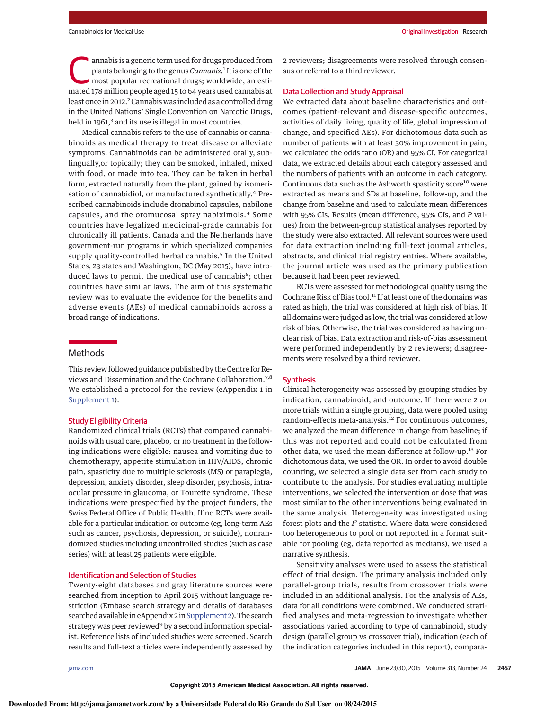annabis is a generic term used for drugs produced from<br>plants belonging to the genus *Cannabis*.<sup>1</sup> It is one of the<br>most popular recreational drugs; worldwide, an esti-<br>most are williams and track *C* there is a popular plants belonging to the genus Cannabis.<sup>1</sup> It is one of the mated 178 million people aged 15 to 64 years used cannabis at least once in 2012.<sup>2</sup> Cannabis was included as a controlled drug in the United Nations' Single Convention on Narcotic Drugs, held in 1961,<sup>3</sup> and its use is illegal in most countries.

Medical cannabis refers to the use of cannabis or cannabinoids as medical therapy to treat disease or alleviate symptoms. Cannabinoids can be administered orally, sublingually,or topically; they can be smoked, inhaled, mixed with food, or made into tea. They can be taken in herbal form, extracted naturally from the plant, gained by isomerisation of cannabidiol, or manufactured synthetically.<sup>4</sup> Prescribed cannabinoids include dronabinol capsules, nabilone capsules, and the oromucosal spray nabiximols.<sup>4</sup> Some countries have legalized medicinal-grade cannabis for chronically ill patients. Canada and the Netherlands have government-run programs in which specialized companies supply quality-controlled herbal cannabis.<sup>5</sup> In the United States, 23 states and Washington, DC (May 2015), have introduced laws to permit the medical use of cannabis<sup>6</sup>; other countries have similar laws. The aim of this systematic review was to evaluate the evidence for the benefits and adverse events (AEs) of medical cannabinoids across a broad range of indications.

## Methods

This review followed guidance published by the Centre for Reviews and Dissemination and the Cochrane Collaboration.7,8 We established a protocol for the review (eAppendix 1 in [Supplement 1\)](http://jama.jamanetwork.com/article.aspx?doi=10.1001/jama.2015.6358&utm_campaign=articlePDF%26utm_medium=articlePDFlink%26utm_source=articlePDF%26utm_content=jama.2015.6358).

#### Study Eligibility Criteria

Randomized clinical trials (RCTs) that compared cannabinoids with usual care, placebo, or no treatment in the following indications were eligible: nausea and vomiting due to chemotherapy, appetite stimulation in HIV/AIDS, chronic pain, spasticity due to multiple sclerosis (MS) or paraplegia, depression, anxiety disorder, sleep disorder, psychosis, intraocular pressure in glaucoma, or Tourette syndrome. These indications were prespecified by the project funders, the Swiss Federal Office of Public Health. If no RCTs were available for a particular indication or outcome (eg, long-term AEs such as cancer, psychosis, depression, or suicide), nonrandomized studies including uncontrolled studies (such as case series) with at least 25 patients were eligible.

#### Identification and Selection of Studies

Twenty-eight databases and gray literature sources were searched from inception to April 2015 without language restriction (Embase search strategy and details of databases searched available in eAppendix 2 in Supplement 2). The search strategy was peer reviewed<sup>9</sup> by a second information specialist. Reference lists of included studies were screened. Search results and full-text articles were independently assessed by

2 reviewers; disagreements were resolved through consensus or referral to a third reviewer.

## Data Collection and Study Appraisal

We extracted data about baseline characteristics and outcomes (patient-relevant and disease-specific outcomes, activities of daily living, quality of life, global impression of change, and specified AEs). For dichotomous data such as number of patients with at least 30% improvement in pain, we calculated the odds ratio (OR) and 95% CI. For categorical data, we extracted details about each category assessed and the numbers of patients with an outcome in each category. Continuous data such as the Ashworth spasticity score<sup>10</sup> were extracted as means and SDs at baseline, follow-up, and the change from baseline and used to calculate mean differences with 95% CIs. Results (mean difference, 95% CIs, and P values) from the between-group statistical analyses reported by the study were also extracted. All relevant sources were used for data extraction including full-text journal articles, abstracts, and clinical trial registry entries. Where available, the journal article was used as the primary publication because it had been peer reviewed.

RCTs were assessed for methodological quality using the Cochrane Risk of Bias tool.11 If at least one of the domains was rated as high, the trial was considered at high risk of bias. If all domains were judged as low, the trial was considered at low risk of bias. Otherwise, the trial was considered as having unclear risk of bias. Data extraction and risk-of-bias assessment were performed independently by 2 reviewers; disagreements were resolved by a third reviewer.

## **Synthesis**

Clinical heterogeneity was assessed by grouping studies by indication, cannabinoid, and outcome. If there were 2 or more trials within a single grouping, data were pooled using random-effects meta-analysis.<sup>12</sup> For continuous outcomes, we analyzed the mean difference in change from baseline; if this was not reported and could not be calculated from other data, we used the mean difference at follow-up.<sup>13</sup> For dichotomous data, we used the OR. In order to avoid double counting, we selected a single data set from each study to contribute to the analysis. For studies evaluating multiple interventions, we selected the intervention or dose that was most similar to the other interventions being evaluated in the same analysis. Heterogeneity was investigated using forest plots and the  $I^2$  statistic. Where data were considered too heterogeneous to pool or not reported in a format suitable for pooling (eg, data reported as medians), we used a narrative synthesis.

Sensitivity analyses were used to assess the statistical effect of trial design. The primary analysis included only parallel-group trials, results from crossover trials were included in an additional analysis. For the analysis of AEs, data for all conditions were combined. We conducted stratified analyses and meta-regression to investigate whether associations varied according to type of cannabinoid, study design (parallel group vs crossover trial), indication (each of the indication categories included in this report), compara-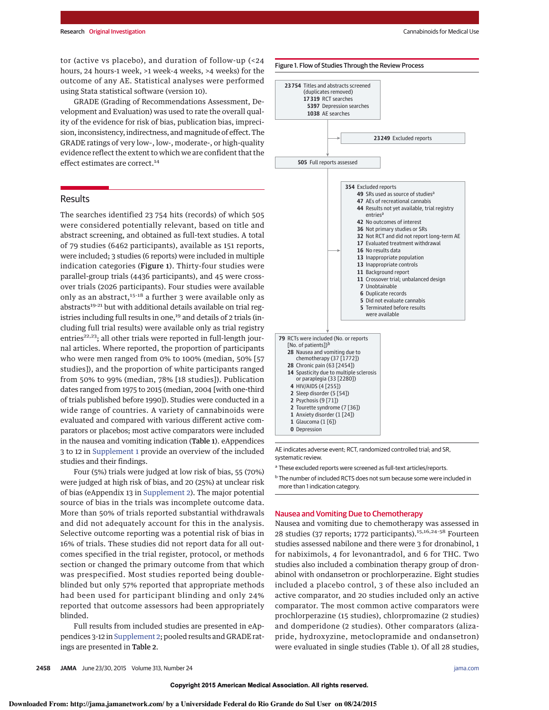tor (active vs placebo), and duration of follow-up (<24 hours, 24 hours-1 week, >1 week-4 weeks, >4 weeks) for the outcome of any AE. Statistical analyses were performed using Stata statistical software (version 10).

GRADE (Grading of Recommendations Assessment, Development and Evaluation) was used to rate the overall quality of the evidence for risk of bias, publication bias, imprecision, inconsistency, indirectness, and magnitude of effect. The GRADE ratings of very low–, low-, moderate-, or high-quality evidence reflect the extent to which we are confident that the effect estimates are correct.<sup>14</sup>

## Results

The searches identified 23 754 hits (records) of which 505 were considered potentially relevant, based on title and abstract screening, and obtained as full-text studies. A total of 79 studies (6462 participants), available as 151 reports, were included; 3 studies (6 reports) were included in multiple indication categories (Figure 1). Thirty-four studies were parallel-group trials (4436 participants), and 45 were crossover trials (2026 participants). Four studies were available only as an abstract, $15-18$  a further 3 were available only as abstracts<sup>19-21</sup> but with additional details available on trial registries including full results in one,<sup>19</sup> and details of 2 trials (including full trial results) were available only as trial registry entries $22,23$ ; all other trials were reported in full-length journal articles. Where reported, the proportion of participants who were men ranged from 0% to 100% (median, 50% [57 studies]), and the proportion of white participants ranged from 50% to 99% (median, 78% [18 studies]). Publication dates ranged from 1975 to 2015 (median, 2004 [with one-third of trials published before 1990]). Studies were conducted in a wide range of countries. A variety of cannabinoids were evaluated and compared with various different active comparators or placebos; most active comparators were included in the nausea and vomiting indication (Table 1). eAppendices 3 to 12 in [Supplement 1](http://jama.jamanetwork.com/article.aspx?doi=10.1001/jama.2015.6358&utm_campaign=articlePDF%26utm_medium=articlePDFlink%26utm_source=articlePDF%26utm_content=jama.2015.6358) provide an overview of the included studies and their findings.

Four (5%) trials were judged at low risk of bias, 55 (70%) were judged at high risk of bias, and 20 (25%) at unclear risk of bias (eAppendix 13 in [Supplement 2\)](http://jama.jamanetwork.com/article.aspx?doi=10.1001/jama.2015.6358&utm_campaign=articlePDF%26utm_medium=articlePDFlink%26utm_source=articlePDF%26utm_content=jama.2015.6358). The major potential source of bias in the trials was incomplete outcome data. More than 50% of trials reported substantial withdrawals and did not adequately account for this in the analysis. Selective outcome reporting was a potential risk of bias in 16% of trials. These studies did not report data for all outcomes specified in the trial register, protocol, or methods section or changed the primary outcome from that which was prespecified. Most studies reported being doubleblinded but only 57% reported that appropriate methods had been used for participant blinding and only 24% reported that outcome assessors had been appropriately blinded.

Full results from included studies are presented in eAppendices 3-12 in [Supplement 2;](http://jama.jamanetwork.com/article.aspx?doi=10.1001/jama.2015.6358&utm_campaign=articlePDF%26utm_medium=articlePDFlink%26utm_source=articlePDF%26utm_content=jama.2015.6358) pooled results and GRADE ratings are presented in Table 2.



AE indicates adverse event; RCT, randomized controlled trial; and SR, systematic review.

<sup>a</sup> These excluded reports were screened as full-text articles/reports.

<sup>b</sup> The number of included RCTS does not sum because some were included in more than 1 indication category.

## Nausea and Vomiting Due to Chemotherapy

Nausea and vomiting due to chemotherapy was assessed in 28 studies (37 reports; 1772 participants).<sup>15,16,24-58</sup> Fourteen studies assessed nabilone and there were 3 for dronabinol, 1 for nabiximols, 4 for levonantradol, and 6 for THC. Two studies also included a combination therapy group of dronabinol with ondansetron or prochlorperazine. Eight studies included a placebo control, 3 of these also included an active comparator, and 20 studies included only an active comparator. The most common active comparators were prochlorperazine (15 studies), chlorpromazine (2 studies) and domperidone (2 studies). Other comparators (alizapride, hydroxyzine, metoclopramide and ondansetron) were evaluated in single studies (Table 1). Of all 28 studies,

**Downloaded From: http://jama.jamanetwork.com/ by a Universidade Federal do Rio Grande do Sul User on 08/24/2015**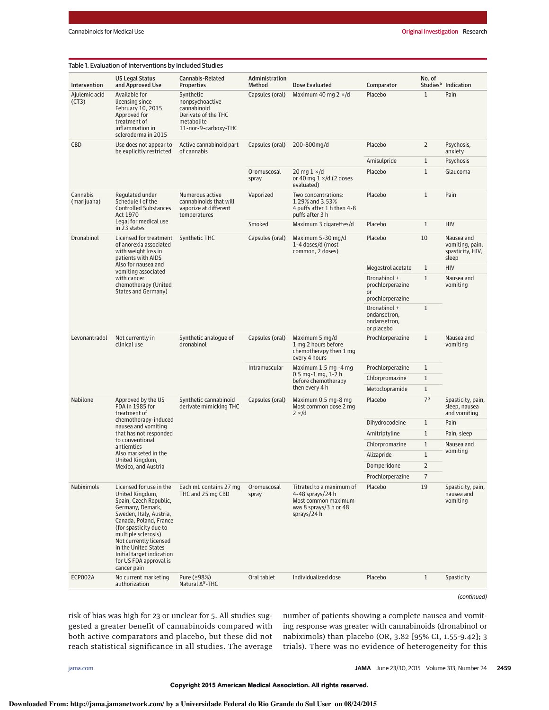| Studies <sup>a</sup> Indication<br>Intervention<br>and Approved Use<br><b>Properties</b><br>Method<br>Dose Evaluated<br>Comparator<br>$\mathbf{1}$<br>Ajulemic acid<br>Available for<br>Synthetic<br>Maximum 40 mg $2 \times$ /d<br>Placebo<br>Pain<br>Capsules (oral)<br>(CT3)<br>licensing since<br>nonpsychoactive<br>cannabinoid<br>February 10, 2015<br>Approved for<br>Derivate of the THC<br>treatment of<br>metabolite<br>11-nor-9-carboxy-THC<br>inflammation in<br>scleroderma in 2015<br>CBD<br>Active cannabinoid part<br>200-800mg/d<br>Placebo<br>$\overline{2}$<br>Use does not appear to<br>Capsules (oral)<br>Psychosis,<br>be explicitly restricted<br>of cannabis<br>anxiety<br>$\mathbf{1}$<br>Amisulpride<br>Psychosis<br>$\mathbf{1}$<br>Oromuscosal<br>20 mg $1 \times/d$<br>Placebo<br>Glaucoma<br>or 40 mg $1 \times$ /d (2 doses<br>spray<br>evaluated)<br>Cannabis<br>Numerous active<br>Two concentrations:<br>Placebo<br>$\mathbf{1}$<br>Pain<br>Regulated under<br>Vaporized<br>Schedule I of the<br>cannabinoids that will<br>1.29% and 3.53%<br>(marijuana)<br><b>Controlled Substances</b><br>vaporize at different<br>4 puffs after 1 h then 4-8<br>Act 1970<br>puffs after 3 h<br>temperatures<br>Legal for medical use<br>Smoked<br>Maximum 3 cigarettes/d<br>Placebo<br>$\mathbf{1}$<br><b>HIV</b><br>in 23 states<br>Dronabinol<br>Licensed for treatment<br>Synthetic THC<br>10<br>Nausea and<br>Capsules (oral)<br>Maximum 5-30 mg/d<br>Placebo<br>of anorexia associated<br>1-4 doses/d (most<br>vomiting, pain,<br>with weight loss in<br>common, 2 doses)<br>spasticity, HIV,<br>patients with AIDS<br>sleep<br>Also for nausea and<br>$\mathbf{1}$<br><b>HIV</b><br>Megestrol acetate<br>vomiting associated<br>with cancer<br>$\mathbf{1}$<br>Dronabinol +<br>Nausea and<br>chemotherapy (United<br>prochlorperazine<br>vomiting<br>States and Germany)<br>or<br>prochlorperazine<br>$\mathbf{1}$<br>Dronabinol +<br>ondansetron,<br>ondansetron,<br>or placebo<br>Synthetic analogue of<br>Capsules (oral)<br>Maximum 5 mg/d<br>Prochlorperazine<br>$\mathbf{1}$<br>Nausea and<br>Levonantradol<br>Not currently in<br>dronabinol<br>1 mg 2 hours before<br>clinical use<br>vomiting<br>chemotherapy then 1 mg<br>every 4 hours<br>Maximum 1.5 mg -4 mg<br>Prochlorperazine<br>$\mathbf{1}$<br>Intramuscular<br>$0.5$ mg-1 mg, 1-2 h<br>Chlorpromazine<br>$\mathbf{1}$<br>before chemotherapy<br>then every 4 h<br>$\mathbf{1}$<br>Metoclopramide<br>7 <sup>b</sup><br>Nabilone<br>Synthetic cannabinoid<br>Placebo<br>Approved by the US<br>Capsules (oral)<br>Maximum 0.5 mg-8 mg<br>Spasticity, pain,<br>FDA in 1985 for<br>derivate mimicking THC<br>Most common dose 2 mg<br>sleep, nausea<br>and vomiting<br>treatment of<br>$2 \times/d$<br>chemotherapy-induced<br>Dihydrocodeine<br>$\mathbf{1}$<br>Pain<br>nausea and vomiting<br>that has not responded<br>$\mathbf{1}$<br>Amitriptyline<br>Pain, sleep<br>to conventional<br>$\mathbf{1}$<br>Nausea and<br>Chlorpromazine<br>antiemtics<br>vomiting<br>Also marketed in the<br>$1\,$<br>Alizapride<br>United Kingdom,<br>Domperidone<br>2<br>Mexico, and Austria<br>7<br>Prochlorperazine<br>19<br>Nabiximols<br>Licensed for use in the<br>Each mL contains 27 mg<br>Titrated to a maximum of<br>Placebo<br>Spasticity, pain,<br>Oromuscosal<br>United Kingdom,<br>THC and 25 mg CBD<br>4-48 sprays/24 h<br>nausea and<br>spray<br>Spain, Czech Republic,<br>Most common maximum<br>vomiting<br>Germany, Demark,<br>was 8 sprays/3 h or 48<br>Sweden, Italy, Austria,<br>sprays/24 h<br>Canada, Poland, France<br>(for spasticity due to<br>multiple sclerosis)<br>Not currently licensed<br>in the United States<br>Initial target indication<br>for US FDA approval is<br>cancer pain<br>No current marketing<br>ECP002A<br>Pure (≥98%)<br>Individualized dose<br>$\mathbf{1}$<br>Spasticity<br>Oral tablet<br>Placebo<br>Natural $\Delta^9$ -THC<br>authorization |  | Table 1. Evaluation of Interventions by Included Studies |                  |                |  |        |  |
|---------------------------------------------------------------------------------------------------------------------------------------------------------------------------------------------------------------------------------------------------------------------------------------------------------------------------------------------------------------------------------------------------------------------------------------------------------------------------------------------------------------------------------------------------------------------------------------------------------------------------------------------------------------------------------------------------------------------------------------------------------------------------------------------------------------------------------------------------------------------------------------------------------------------------------------------------------------------------------------------------------------------------------------------------------------------------------------------------------------------------------------------------------------------------------------------------------------------------------------------------------------------------------------------------------------------------------------------------------------------------------------------------------------------------------------------------------------------------------------------------------------------------------------------------------------------------------------------------------------------------------------------------------------------------------------------------------------------------------------------------------------------------------------------------------------------------------------------------------------------------------------------------------------------------------------------------------------------------------------------------------------------------------------------------------------------------------------------------------------------------------------------------------------------------------------------------------------------------------------------------------------------------------------------------------------------------------------------------------------------------------------------------------------------------------------------------------------------------------------------------------------------------------------------------------------------------------------------------------------------------------------------------------------------------------------------------------------------------------------------------------------------------------------------------------------------------------------------------------------------------------------------------------------------------------------------------------------------------------------------------------------------------------------------------------------------------------------------------------------------------------------------------------------------------------------------------------------------------------------------------------------------------------------------------------------------------------------------------------------------------------------------------------------------------------------------------------------------------------------------------------------------------------------------------------------------------------------------------------------------------------------------------------------------------------------------------------------------------------------------------------------------------------------------------------------------------------------------------------------------------------------------------------------------------------------------------------------------------------|--|----------------------------------------------------------|------------------|----------------|--|--------|--|
|                                                                                                                                                                                                                                                                                                                                                                                                                                                                                                                                                                                                                                                                                                                                                                                                                                                                                                                                                                                                                                                                                                                                                                                                                                                                                                                                                                                                                                                                                                                                                                                                                                                                                                                                                                                                                                                                                                                                                                                                                                                                                                                                                                                                                                                                                                                                                                                                                                                                                                                                                                                                                                                                                                                                                                                                                                                                                                                                                                                                                                                                                                                                                                                                                                                                                                                                                                                                                                                                                                                                                                                                                                                                                                                                                                                                                                                                                                                                                                                 |  | <b>US Legal Status</b>                                   | Cannabis-Related | Administration |  | No. of |  |
|                                                                                                                                                                                                                                                                                                                                                                                                                                                                                                                                                                                                                                                                                                                                                                                                                                                                                                                                                                                                                                                                                                                                                                                                                                                                                                                                                                                                                                                                                                                                                                                                                                                                                                                                                                                                                                                                                                                                                                                                                                                                                                                                                                                                                                                                                                                                                                                                                                                                                                                                                                                                                                                                                                                                                                                                                                                                                                                                                                                                                                                                                                                                                                                                                                                                                                                                                                                                                                                                                                                                                                                                                                                                                                                                                                                                                                                                                                                                                                                 |  |                                                          |                  |                |  |        |  |
|                                                                                                                                                                                                                                                                                                                                                                                                                                                                                                                                                                                                                                                                                                                                                                                                                                                                                                                                                                                                                                                                                                                                                                                                                                                                                                                                                                                                                                                                                                                                                                                                                                                                                                                                                                                                                                                                                                                                                                                                                                                                                                                                                                                                                                                                                                                                                                                                                                                                                                                                                                                                                                                                                                                                                                                                                                                                                                                                                                                                                                                                                                                                                                                                                                                                                                                                                                                                                                                                                                                                                                                                                                                                                                                                                                                                                                                                                                                                                                                 |  |                                                          |                  |                |  |        |  |
|                                                                                                                                                                                                                                                                                                                                                                                                                                                                                                                                                                                                                                                                                                                                                                                                                                                                                                                                                                                                                                                                                                                                                                                                                                                                                                                                                                                                                                                                                                                                                                                                                                                                                                                                                                                                                                                                                                                                                                                                                                                                                                                                                                                                                                                                                                                                                                                                                                                                                                                                                                                                                                                                                                                                                                                                                                                                                                                                                                                                                                                                                                                                                                                                                                                                                                                                                                                                                                                                                                                                                                                                                                                                                                                                                                                                                                                                                                                                                                                 |  |                                                          |                  |                |  |        |  |
|                                                                                                                                                                                                                                                                                                                                                                                                                                                                                                                                                                                                                                                                                                                                                                                                                                                                                                                                                                                                                                                                                                                                                                                                                                                                                                                                                                                                                                                                                                                                                                                                                                                                                                                                                                                                                                                                                                                                                                                                                                                                                                                                                                                                                                                                                                                                                                                                                                                                                                                                                                                                                                                                                                                                                                                                                                                                                                                                                                                                                                                                                                                                                                                                                                                                                                                                                                                                                                                                                                                                                                                                                                                                                                                                                                                                                                                                                                                                                                                 |  |                                                          |                  |                |  |        |  |
|                                                                                                                                                                                                                                                                                                                                                                                                                                                                                                                                                                                                                                                                                                                                                                                                                                                                                                                                                                                                                                                                                                                                                                                                                                                                                                                                                                                                                                                                                                                                                                                                                                                                                                                                                                                                                                                                                                                                                                                                                                                                                                                                                                                                                                                                                                                                                                                                                                                                                                                                                                                                                                                                                                                                                                                                                                                                                                                                                                                                                                                                                                                                                                                                                                                                                                                                                                                                                                                                                                                                                                                                                                                                                                                                                                                                                                                                                                                                                                                 |  |                                                          |                  |                |  |        |  |
|                                                                                                                                                                                                                                                                                                                                                                                                                                                                                                                                                                                                                                                                                                                                                                                                                                                                                                                                                                                                                                                                                                                                                                                                                                                                                                                                                                                                                                                                                                                                                                                                                                                                                                                                                                                                                                                                                                                                                                                                                                                                                                                                                                                                                                                                                                                                                                                                                                                                                                                                                                                                                                                                                                                                                                                                                                                                                                                                                                                                                                                                                                                                                                                                                                                                                                                                                                                                                                                                                                                                                                                                                                                                                                                                                                                                                                                                                                                                                                                 |  |                                                          |                  |                |  |        |  |
|                                                                                                                                                                                                                                                                                                                                                                                                                                                                                                                                                                                                                                                                                                                                                                                                                                                                                                                                                                                                                                                                                                                                                                                                                                                                                                                                                                                                                                                                                                                                                                                                                                                                                                                                                                                                                                                                                                                                                                                                                                                                                                                                                                                                                                                                                                                                                                                                                                                                                                                                                                                                                                                                                                                                                                                                                                                                                                                                                                                                                                                                                                                                                                                                                                                                                                                                                                                                                                                                                                                                                                                                                                                                                                                                                                                                                                                                                                                                                                                 |  |                                                          |                  |                |  |        |  |
|                                                                                                                                                                                                                                                                                                                                                                                                                                                                                                                                                                                                                                                                                                                                                                                                                                                                                                                                                                                                                                                                                                                                                                                                                                                                                                                                                                                                                                                                                                                                                                                                                                                                                                                                                                                                                                                                                                                                                                                                                                                                                                                                                                                                                                                                                                                                                                                                                                                                                                                                                                                                                                                                                                                                                                                                                                                                                                                                                                                                                                                                                                                                                                                                                                                                                                                                                                                                                                                                                                                                                                                                                                                                                                                                                                                                                                                                                                                                                                                 |  |                                                          |                  |                |  |        |  |
|                                                                                                                                                                                                                                                                                                                                                                                                                                                                                                                                                                                                                                                                                                                                                                                                                                                                                                                                                                                                                                                                                                                                                                                                                                                                                                                                                                                                                                                                                                                                                                                                                                                                                                                                                                                                                                                                                                                                                                                                                                                                                                                                                                                                                                                                                                                                                                                                                                                                                                                                                                                                                                                                                                                                                                                                                                                                                                                                                                                                                                                                                                                                                                                                                                                                                                                                                                                                                                                                                                                                                                                                                                                                                                                                                                                                                                                                                                                                                                                 |  |                                                          |                  |                |  |        |  |
|                                                                                                                                                                                                                                                                                                                                                                                                                                                                                                                                                                                                                                                                                                                                                                                                                                                                                                                                                                                                                                                                                                                                                                                                                                                                                                                                                                                                                                                                                                                                                                                                                                                                                                                                                                                                                                                                                                                                                                                                                                                                                                                                                                                                                                                                                                                                                                                                                                                                                                                                                                                                                                                                                                                                                                                                                                                                                                                                                                                                                                                                                                                                                                                                                                                                                                                                                                                                                                                                                                                                                                                                                                                                                                                                                                                                                                                                                                                                                                                 |  |                                                          |                  |                |  |        |  |
|                                                                                                                                                                                                                                                                                                                                                                                                                                                                                                                                                                                                                                                                                                                                                                                                                                                                                                                                                                                                                                                                                                                                                                                                                                                                                                                                                                                                                                                                                                                                                                                                                                                                                                                                                                                                                                                                                                                                                                                                                                                                                                                                                                                                                                                                                                                                                                                                                                                                                                                                                                                                                                                                                                                                                                                                                                                                                                                                                                                                                                                                                                                                                                                                                                                                                                                                                                                                                                                                                                                                                                                                                                                                                                                                                                                                                                                                                                                                                                                 |  |                                                          |                  |                |  |        |  |
|                                                                                                                                                                                                                                                                                                                                                                                                                                                                                                                                                                                                                                                                                                                                                                                                                                                                                                                                                                                                                                                                                                                                                                                                                                                                                                                                                                                                                                                                                                                                                                                                                                                                                                                                                                                                                                                                                                                                                                                                                                                                                                                                                                                                                                                                                                                                                                                                                                                                                                                                                                                                                                                                                                                                                                                                                                                                                                                                                                                                                                                                                                                                                                                                                                                                                                                                                                                                                                                                                                                                                                                                                                                                                                                                                                                                                                                                                                                                                                                 |  |                                                          |                  |                |  |        |  |
|                                                                                                                                                                                                                                                                                                                                                                                                                                                                                                                                                                                                                                                                                                                                                                                                                                                                                                                                                                                                                                                                                                                                                                                                                                                                                                                                                                                                                                                                                                                                                                                                                                                                                                                                                                                                                                                                                                                                                                                                                                                                                                                                                                                                                                                                                                                                                                                                                                                                                                                                                                                                                                                                                                                                                                                                                                                                                                                                                                                                                                                                                                                                                                                                                                                                                                                                                                                                                                                                                                                                                                                                                                                                                                                                                                                                                                                                                                                                                                                 |  |                                                          |                  |                |  |        |  |
|                                                                                                                                                                                                                                                                                                                                                                                                                                                                                                                                                                                                                                                                                                                                                                                                                                                                                                                                                                                                                                                                                                                                                                                                                                                                                                                                                                                                                                                                                                                                                                                                                                                                                                                                                                                                                                                                                                                                                                                                                                                                                                                                                                                                                                                                                                                                                                                                                                                                                                                                                                                                                                                                                                                                                                                                                                                                                                                                                                                                                                                                                                                                                                                                                                                                                                                                                                                                                                                                                                                                                                                                                                                                                                                                                                                                                                                                                                                                                                                 |  |                                                          |                  |                |  |        |  |
|                                                                                                                                                                                                                                                                                                                                                                                                                                                                                                                                                                                                                                                                                                                                                                                                                                                                                                                                                                                                                                                                                                                                                                                                                                                                                                                                                                                                                                                                                                                                                                                                                                                                                                                                                                                                                                                                                                                                                                                                                                                                                                                                                                                                                                                                                                                                                                                                                                                                                                                                                                                                                                                                                                                                                                                                                                                                                                                                                                                                                                                                                                                                                                                                                                                                                                                                                                                                                                                                                                                                                                                                                                                                                                                                                                                                                                                                                                                                                                                 |  |                                                          |                  |                |  |        |  |
|                                                                                                                                                                                                                                                                                                                                                                                                                                                                                                                                                                                                                                                                                                                                                                                                                                                                                                                                                                                                                                                                                                                                                                                                                                                                                                                                                                                                                                                                                                                                                                                                                                                                                                                                                                                                                                                                                                                                                                                                                                                                                                                                                                                                                                                                                                                                                                                                                                                                                                                                                                                                                                                                                                                                                                                                                                                                                                                                                                                                                                                                                                                                                                                                                                                                                                                                                                                                                                                                                                                                                                                                                                                                                                                                                                                                                                                                                                                                                                                 |  |                                                          |                  |                |  |        |  |
|                                                                                                                                                                                                                                                                                                                                                                                                                                                                                                                                                                                                                                                                                                                                                                                                                                                                                                                                                                                                                                                                                                                                                                                                                                                                                                                                                                                                                                                                                                                                                                                                                                                                                                                                                                                                                                                                                                                                                                                                                                                                                                                                                                                                                                                                                                                                                                                                                                                                                                                                                                                                                                                                                                                                                                                                                                                                                                                                                                                                                                                                                                                                                                                                                                                                                                                                                                                                                                                                                                                                                                                                                                                                                                                                                                                                                                                                                                                                                                                 |  |                                                          |                  |                |  |        |  |
|                                                                                                                                                                                                                                                                                                                                                                                                                                                                                                                                                                                                                                                                                                                                                                                                                                                                                                                                                                                                                                                                                                                                                                                                                                                                                                                                                                                                                                                                                                                                                                                                                                                                                                                                                                                                                                                                                                                                                                                                                                                                                                                                                                                                                                                                                                                                                                                                                                                                                                                                                                                                                                                                                                                                                                                                                                                                                                                                                                                                                                                                                                                                                                                                                                                                                                                                                                                                                                                                                                                                                                                                                                                                                                                                                                                                                                                                                                                                                                                 |  |                                                          |                  |                |  |        |  |
|                                                                                                                                                                                                                                                                                                                                                                                                                                                                                                                                                                                                                                                                                                                                                                                                                                                                                                                                                                                                                                                                                                                                                                                                                                                                                                                                                                                                                                                                                                                                                                                                                                                                                                                                                                                                                                                                                                                                                                                                                                                                                                                                                                                                                                                                                                                                                                                                                                                                                                                                                                                                                                                                                                                                                                                                                                                                                                                                                                                                                                                                                                                                                                                                                                                                                                                                                                                                                                                                                                                                                                                                                                                                                                                                                                                                                                                                                                                                                                                 |  |                                                          |                  |                |  |        |  |
|                                                                                                                                                                                                                                                                                                                                                                                                                                                                                                                                                                                                                                                                                                                                                                                                                                                                                                                                                                                                                                                                                                                                                                                                                                                                                                                                                                                                                                                                                                                                                                                                                                                                                                                                                                                                                                                                                                                                                                                                                                                                                                                                                                                                                                                                                                                                                                                                                                                                                                                                                                                                                                                                                                                                                                                                                                                                                                                                                                                                                                                                                                                                                                                                                                                                                                                                                                                                                                                                                                                                                                                                                                                                                                                                                                                                                                                                                                                                                                                 |  |                                                          |                  |                |  |        |  |
|                                                                                                                                                                                                                                                                                                                                                                                                                                                                                                                                                                                                                                                                                                                                                                                                                                                                                                                                                                                                                                                                                                                                                                                                                                                                                                                                                                                                                                                                                                                                                                                                                                                                                                                                                                                                                                                                                                                                                                                                                                                                                                                                                                                                                                                                                                                                                                                                                                                                                                                                                                                                                                                                                                                                                                                                                                                                                                                                                                                                                                                                                                                                                                                                                                                                                                                                                                                                                                                                                                                                                                                                                                                                                                                                                                                                                                                                                                                                                                                 |  |                                                          |                  |                |  |        |  |
|                                                                                                                                                                                                                                                                                                                                                                                                                                                                                                                                                                                                                                                                                                                                                                                                                                                                                                                                                                                                                                                                                                                                                                                                                                                                                                                                                                                                                                                                                                                                                                                                                                                                                                                                                                                                                                                                                                                                                                                                                                                                                                                                                                                                                                                                                                                                                                                                                                                                                                                                                                                                                                                                                                                                                                                                                                                                                                                                                                                                                                                                                                                                                                                                                                                                                                                                                                                                                                                                                                                                                                                                                                                                                                                                                                                                                                                                                                                                                                                 |  |                                                          |                  |                |  |        |  |
|                                                                                                                                                                                                                                                                                                                                                                                                                                                                                                                                                                                                                                                                                                                                                                                                                                                                                                                                                                                                                                                                                                                                                                                                                                                                                                                                                                                                                                                                                                                                                                                                                                                                                                                                                                                                                                                                                                                                                                                                                                                                                                                                                                                                                                                                                                                                                                                                                                                                                                                                                                                                                                                                                                                                                                                                                                                                                                                                                                                                                                                                                                                                                                                                                                                                                                                                                                                                                                                                                                                                                                                                                                                                                                                                                                                                                                                                                                                                                                                 |  |                                                          |                  |                |  |        |  |

(continued)

risk of bias was high for 23 or unclear for 5. All studies suggested a greater benefit of cannabinoids compared with both active comparators and placebo, but these did not reach statistical significance in all studies. The average

number of patients showing a complete nausea and vomiting response was greater with cannabinoids (dronabinol or nabiximols) than placebo (OR, 3.82 [95% CI, 1.55-9.42]; 3 trials). There was no evidence of heterogeneity for this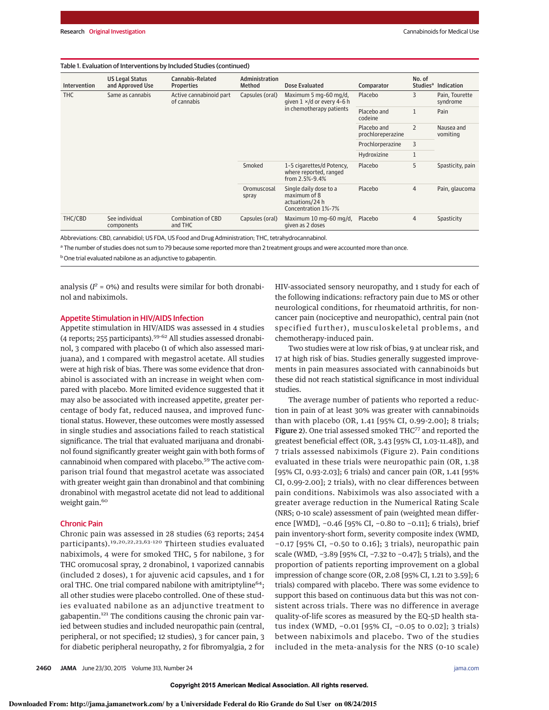#### Table 1. Evaluation of Interventions by Included Studies (continued)

| Intervention | <b>US Legal Status</b><br>and Approved Use | Cannabis-Related<br><b>Properties</b>  | Administration<br>Method | Dose Evaluated                                                                   | Comparator                       | No. of<br>Studies <sup>a</sup> | <b>Indication</b>          |
|--------------|--------------------------------------------|----------------------------------------|--------------------------|----------------------------------------------------------------------------------|----------------------------------|--------------------------------|----------------------------|
| <b>THC</b>   | Same as cannabis                           | Active cannabinoid part<br>of cannabis | Capsules (oral)          | Maximum 5 mg-60 mg/d,<br>given $1 \times$ /d or every 4-6 h                      | Placebo                          | 3                              | Pain, Tourette<br>syndrome |
|              |                                            |                                        |                          | in chemotherapy patients                                                         | Placebo and<br>codeine           | $\mathbf{1}$                   | Pain                       |
|              |                                            |                                        |                          |                                                                                  | Placebo and<br>prochloreperazine | $\overline{2}$                 | Nausea and<br>vomiting     |
|              |                                            |                                        |                          |                                                                                  | Prochlorperazine                 | 3                              |                            |
|              |                                            |                                        |                          |                                                                                  | Hydroxizine                      | $\mathbf{1}$                   |                            |
|              |                                            |                                        | Smoked                   | 1-5 cigarettes/d Potency,<br>where reported, ranged<br>from 2.5%-9.4%            | Placebo                          | 5                              | Spasticity, pain           |
|              |                                            |                                        | Oromuscosal<br>spray     | Single daily dose to a<br>maximum of 8<br>actuations/24 h<br>Concentration 1%-7% | Placebo                          | $\overline{4}$                 | Pain, glaucoma             |
| THC/CBD      | See individual<br>components               | <b>Combination of CBD</b><br>and THC   | Capsules (oral)          | Maximum 10 mg-60 mg/d,<br>given as 2 doses                                       | Placebo                          | $\overline{4}$                 | Spasticity                 |

Abbreviations: CBD, cannabidiol; US FDA, US Food and Drug Administration; THC, tetrahydrocannabinol.

<sup>a</sup> The number of studies does not sum to 79 because some reported more than 2 treatment groups and were accounted more than once.

**b** One trial evaluated nabilone as an adjunctive to gabapentin.

analysis ( $I^2 = 0$ %) and results were similar for both dronabinol and nabiximols.

## Appetite Stimulation in HIV/AIDS Infection

Appetite stimulation in HIV/AIDS was assessed in 4 studies  $(4$  reports; 255 participants).<sup>59-62</sup> All studies assessed dronabinol, 3 compared with placebo (1 of which also assessed marijuana), and 1 compared with megastrol acetate. All studies were at high risk of bias. There was some evidence that dronabinol is associated with an increase in weight when compared with placebo. More limited evidence suggested that it may also be associated with increased appetite, greater percentage of body fat, reduced nausea, and improved functional status. However, these outcomes were mostly assessed in single studies and associations failed to reach statistical significance. The trial that evaluated marijuana and dronabinol found significantly greater weight gain with both forms of cannabinoid when compared with placebo.<sup>59</sup> The active comparison trial found that megastrol acetate was associated with greater weight gain than dronabinol and that combining dronabinol with megastrol acetate did not lead to additional weight gain.<sup>60</sup>

## Chronic Pain

Chronic pain was assessed in 28 studies (63 reports; 2454 participants).19,20,22,23,63-120 Thirteen studies evaluated nabiximols, 4 were for smoked THC, 5 for nabilone, 3 for THC oromucosal spray, 2 dronabinol, 1 vaporized cannabis (included 2 doses), 1 for ajuvenic acid capsules, and 1 for oral THC. One trial compared nabilone with amitriptyline<sup>64</sup>; all other studies were placebo controlled. One of these studies evaluated nabilone as an adjunctive treatment to gabapentin.<sup>121</sup> The conditions causing the chronic pain varied between studies and included neuropathic pain (central, peripheral, or not specified; 12 studies), 3 for cancer pain, 3 for diabetic peripheral neuropathy, 2 for fibromyalgia, 2 for HIV-associated sensory neuropathy, and 1 study for each of the following indications: refractory pain due to MS or other neurological conditions, for rheumatoid arthritis, for noncancer pain (nociceptive and neuropathic), central pain (not specified further), musculoskeletal problems, and chemotherapy-induced pain.

Two studies were at low risk of bias, 9 at unclear risk, and 17 at high risk of bias. Studies generally suggested improvements in pain measures associated with cannabinoids but these did not reach statistical significance in most individual studies.

The average number of patients who reported a reduction in pain of at least 30% was greater with cannabinoids than with placebo (OR, 1.41 [95% CI, 0.99-2.00]; 8 trials; Figure 2). One trial assessed smoked THC<sup>77</sup> and reported the greatest beneficial effect (OR, 3.43 [95% CI, 1.03-11.48]), and 7 trials assessed nabiximols (Figure 2). Pain conditions evaluated in these trials were neuropathic pain (OR, 1.38 [95% CI, 0.93-2.03]; 6 trials) and cancer pain (OR, 1.41 [95% CI, 0.99-2.00]; 2 trials), with no clear differences between pain conditions. Nabiximols was also associated with a greater average reduction in the Numerical Rating Scale (NRS; 0-10 scale) assessment of pain (weighted mean difference [WMD], −0.46 [95% CI, −0.80 to −0.11]; 6 trials), brief pain inventory-short form, severity composite index (WMD, −0.17 [95% CI, −0.50 to 0.16]; 3 trials), neuropathic pain scale (WMD, −3.89 [95% CI, −7.32 to −0.47]; 5 trials), and the proportion of patients reporting improvement on a global impression of change score (OR, 2.08 [95% CI, 1.21 to 3.59]; 6 trials) compared with placebo. There was some evidence to support this based on continuous data but this was not consistent across trials. There was no difference in average quality-of-life scores as measured by the EQ-5D health status index (WMD, −0.01 [95% CI, −0.05 to 0.02]; 3 trials) between nabiximols and placebo. Two of the studies included in the meta-analysis for the NRS (0-10 scale)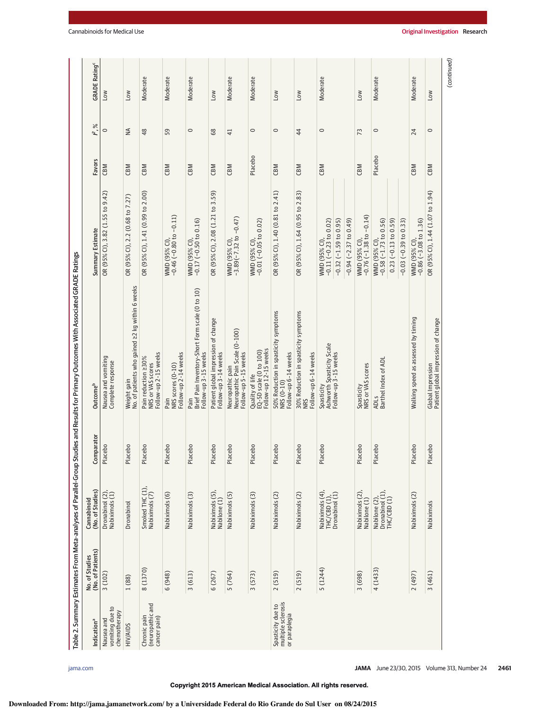| Indication <sup>a</sup>                                  | (No. of Patients)<br>No. of Studies | (No. of Studies)<br>Cannabinoid                   | mparator<br>වි     | Outcome <sup>b</sup>                                                                | Summary Estimate                                                            | Favors  | $\%$<br>≃.     | <b>GRADE Rating<sup>c</sup></b> |
|----------------------------------------------------------|-------------------------------------|---------------------------------------------------|--------------------|-------------------------------------------------------------------------------------|-----------------------------------------------------------------------------|---------|----------------|---------------------------------|
| vomiting due to<br>chemotherapy<br>Nausea and            | 3(102)                              | Dronabinol (2),<br>Nabiximols (1)                 | cebo<br>Pla        | Nausea and vomiting<br>Complete response                                            | OR (95% Cl), 3.82 (1.55 to 9.42)                                            | CBM     | 0              | NOT                             |
| <b>HIV/AIDS</b>                                          | 1 (88)                              | Dronabinol                                        | cebo<br>Pla        | No. of patients who gained 22 kg within 6 weeks<br>Weight gain                      | OR (95% CI), 2.2 (0.68 to 7.27)                                             | CBM     | ₹              | <b>MOT</b>                      |
| (neuropathic and<br>Chronic pain<br>cancer pain)         | 8 (1370)                            | Smoked THC (1),<br>Nabiximols (7)                 | cebo<br>Pla        | Follow-up 2-15 weeks<br>Pain reduction 230%<br>NRS or VAS scores                    | OR (95% CI), 1.41 (0.99 to 2.00)                                            | CBM     | 48             | Moderate                        |
|                                                          | 6(948)                              | Nabiximols (6)                                    | cebo<br>Pla        | Follow-up 2-14 weeks<br>NRS scores (0-10)<br>Pain                                   | WMD (95% Cl),<br>-0.46 (-0.80 to -0.11)                                     | CBM     | 59             | Moderate                        |
|                                                          | 3(613)                              | Nabiximols (3)                                    | cebo<br><u>na</u>  | Brief Pain Inventory-Short Form scale (0 to 10)<br>Follow-up 3-15 weeks<br>Pain     | WMD (95% Cl),<br>-0.17 (-0.50 to 0.16)                                      | CBM     | $\circ$        | Moderate                        |
|                                                          | 6(267)                              | Nabiximols (5),<br>Nabilone (1)                   | cebo<br><u>Fla</u> | Patient global impression of change<br>Follow-up 3-14 weeks                         | OR (95% CI), 2.08 (1.21 to 3.59)                                            | CBM     | 68             | <b>NOT</b>                      |
|                                                          | 5 (764)                             | Nabiximols (5)                                    | cebo<br>Pla        | Neuropathic pain<br>Neuropath <u>i</u> c Pain Scale (0-100)<br>Follow-up 5-15 weeks | WMD (95% Cl),<br>-3.89(-7.32 to -0.47)                                      | CBM     | $\overline{4}$ | Moderate                        |
|                                                          | 3(573)                              | Nabiximols (3)                                    | cebo<br>Pla        | Follow-up 12-15 weeks<br>EQ-5D scale (0 to 100)<br>Quality of life                  | WMD (95% Cl),<br>-0.01 (-0.05 to 0.02)                                      | Placebo | $\circ$        | Moderate                        |
| multiple sclerosis<br>Spasticity due to<br>or paraplegia | 2(519)                              | Nabiximols (2)                                    | cebo<br><b>Pla</b> | 50% Reduction in spasticity symptoms<br>Follow-up 6-14 weeks<br>NRS (0-10)          | OR (95% CI), 1.40 (0.81 to 2.41)                                            | CBM     | $\circ$        | MOT                             |
|                                                          | 2(519)                              | Nabiximols (2)                                    | cebo<br>Pla        | 30% Reduction in spasticity symptoms<br>Follow-up 6-14 weeks<br><b>NRS</b>          | OR (95% CI), 1.64 (0.95 to 2.83)                                            | CBM     | 44             | <b>NO7</b>                      |
|                                                          | 5 (1244)                            | Nabiximols (4),<br>$THC(EB (1),$ Dronabinol $(1)$ | cebo<br>Pla        | Ashworth Spasticity Scale<br>Follow-up 3-15 weeks<br>Spasticity                     | $-0.11(-0.23 to 0.02)$<br>$-0.32$ ( $-1.59$ to 0.95)<br><b>WMD (95% CI)</b> | CBM     | $\circ$        | Moderate                        |
|                                                          |                                     |                                                   |                    |                                                                                     | $-0.94$ ( $-2.37$ to 0.49)                                                  |         |                |                                 |
|                                                          | 3 (698)                             | Nabiximols (2),<br>Nabilone (1)                   | cebo<br>Pla        | Spasticity<br>NRS or VAS scores                                                     | WMD (95% Cl),<br>-0.76 (-1.38 to -0.14)                                     | CBM     | 73             | <b>NOT</b>                      |
|                                                          | 4(1433)                             | Nabilone (2),<br>Dronabinol (1),<br>THC/CBD (1)   | cebo<br>Pla        | ADLS<br>Barthel Index of ADL                                                        | $-0.58(-1.73$ to $0.56)$<br>$0.23$ (-0.13 to 0.59)<br>WMD (95% CI),         | Placebo | $\circ$        | Moderate                        |
|                                                          |                                     |                                                   |                    |                                                                                     | $-0.03(-0.39 to 0.33)$                                                      |         |                |                                 |
|                                                          | (197)                               | Nabiximols (2)                                    | cebo<br>Pla        | Walking speed as assessed by timing                                                 | $-0.86$ ( $-3.08$ to 1.36)<br>WMD (95% CI)                                  | CBM     | 24             | Moderate                        |
|                                                          | 3(461)                              | Nabiximols                                        | Placebo            | Global Impression<br>Patient global impression of change                            | OR (95% CI), 1.44 (1.07 to 1.94)                                            | CBM     | $\circ$        | MOT                             |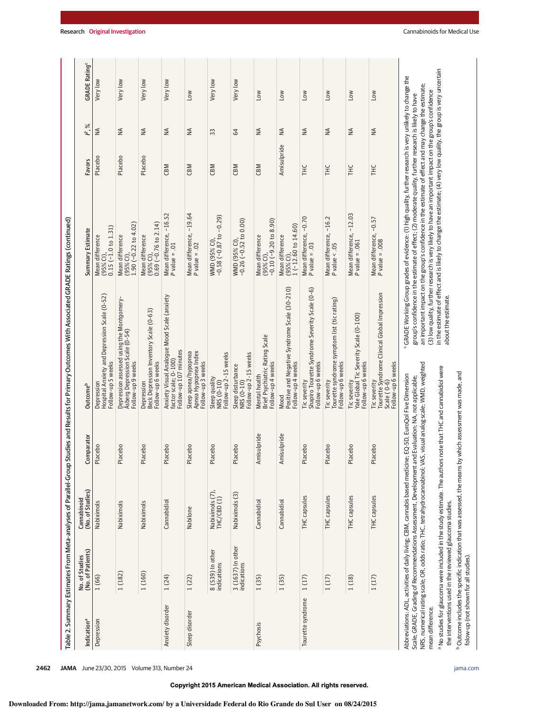| Indication <sup>a</sup> | (No. of Patients)<br>No. of Studies                      | (No. of Studies)<br>Cannabinoid                                                                                                                                                                                                                                                                                                                                                                               | Comparator  | <b>Outcome</b> <sup>b</sup>                                                                             | Summary Estimate                                                                                                                                                                                                                                                                                                                                                                                                                                                                                                                                                        | Favors      | $\%$<br>"≥                   | <b>GRADE Rating</b> |
|-------------------------|----------------------------------------------------------|---------------------------------------------------------------------------------------------------------------------------------------------------------------------------------------------------------------------------------------------------------------------------------------------------------------------------------------------------------------------------------------------------------------|-------------|---------------------------------------------------------------------------------------------------------|-------------------------------------------------------------------------------------------------------------------------------------------------------------------------------------------------------------------------------------------------------------------------------------------------------------------------------------------------------------------------------------------------------------------------------------------------------------------------------------------------------------------------------------------------------------------------|-------------|------------------------------|---------------------|
| Depression              | 1 (66)                                                   | Nabiximols                                                                                                                                                                                                                                                                                                                                                                                                    | Placebo     | Hospital Anxiety and Depression Scale (0-52)<br>Follow-up 5 weeks<br>Depressio                          | (95% Cl),<br>0.15 (-1.0 to 1.31)<br>Mean difference                                                                                                                                                                                                                                                                                                                                                                                                                                                                                                                     | Placebo     | $\leq$                       | Very low            |
|                         | 1(182)                                                   | Nabiximols                                                                                                                                                                                                                                                                                                                                                                                                    | Placebo     | Depression assessed using the Montgomery-<br>Åsberg Depression Scale (0-54)<br>Follow-up 9 weeks        | $1.90 (-0.22 to 4.02)$<br>Mean difference<br>$(95%$ CI),                                                                                                                                                                                                                                                                                                                                                                                                                                                                                                                | Placebo     | $\leq$                       | Very low            |
|                         | 1(160)                                                   | Nabiximols                                                                                                                                                                                                                                                                                                                                                                                                    | Placebo     | Beck Depression Inventory Scale (0-63)<br>Follow-up 6 weeks<br>Depression                               | $0.69$ (-0.76 to 2.14)<br>Mean difference<br>(95% <sup>o</sup> Cl)                                                                                                                                                                                                                                                                                                                                                                                                                                                                                                      | Placebo     | $\stackrel{\triangle}{\geq}$ | Very low            |
| Anxiety disorder        | 1(24)                                                    | Cannabidiol                                                                                                                                                                                                                                                                                                                                                                                                   | Placebo     | Anxiety Visual Analogue Mood Scale (anxiety<br>Follow-up 107 minutes<br>factor scale; 0-100)            | $-16.52$<br>Mean difference,<br>P value = .01                                                                                                                                                                                                                                                                                                                                                                                                                                                                                                                           | CBM         | $\leq$                       | Very low            |
| Sleep disorder          | 1(22)                                                    | Nabilone                                                                                                                                                                                                                                                                                                                                                                                                      | Placebo     | Apnea Hypopnea Index<br>Follow-up 3 weeks<br>Sleep apnea/hypopnea                                       | Mean difference, -19.64<br>$P$ value = .02                                                                                                                                                                                                                                                                                                                                                                                                                                                                                                                              | CBM         | ≸                            | Low                 |
|                         | 8 (539) In other<br>indications                          | Nabiximols (7),<br>THC/CBD (1)                                                                                                                                                                                                                                                                                                                                                                                | Placebo     | Follow-up 2-15 weeks<br>Sleep quality<br>NRS (0-10)                                                     | WMD (95% Cl),<br>-0.58 (-0.87 to -0.29)                                                                                                                                                                                                                                                                                                                                                                                                                                                                                                                                 | CBM         | 33                           | Very low            |
|                         | 3 (1637) In other<br>indications                         | Nabiximols <sub>(3)</sub>                                                                                                                                                                                                                                                                                                                                                                                     | Placebo     | Follow-up 2-15 weeks<br>Sleep disturbance<br>NRS (0-10)                                                 | WMD (95% Cl),<br>-0.26 (-0.52 to 0.00)                                                                                                                                                                                                                                                                                                                                                                                                                                                                                                                                  | CBM         | 64                           | Very low            |
| Psychosis               | 1(35)                                                    | Cannabidiol                                                                                                                                                                                                                                                                                                                                                                                                   | Amisulpride | Brief Psychiatric Rating Scale<br>Follow-up 4 weeks<br>Mental health                                    | $-0.10(-9.20 to 8.90)$<br>Mean difference<br>$(95%$ CI)                                                                                                                                                                                                                                                                                                                                                                                                                                                                                                                 | CBM         | $\leq$                       | Low                 |
|                         | 1(35)                                                    | Cannabidiol                                                                                                                                                                                                                                                                                                                                                                                                   | Amisulpride | Positive and Negative Syndrome Scale (30-210)<br>Follow-up 4 weeks<br>Mood                              | $1(-12.60 \text{ to } 14.60)$<br>Mean difference<br>$(95%$ CI),                                                                                                                                                                                                                                                                                                                                                                                                                                                                                                         | Amisulpride | $\stackrel{\triangle}{\geq}$ | <b>MOT</b>          |
| Tourette syndrome       | 1(17)                                                    | THC capsules                                                                                                                                                                                                                                                                                                                                                                                                  | Placebo     | Shapiro Tourette Syndrome Severity Scale (0-6)<br>Follow-up 6 weeks<br>Tic severity                     | Mean difference, -0.70<br>P value = .03                                                                                                                                                                                                                                                                                                                                                                                                                                                                                                                                 | ТHC         | ≸                            | <b>NO7</b>          |
|                         | 1(17)                                                    | THC capsules                                                                                                                                                                                                                                                                                                                                                                                                  | Placebo     | Tourette syndrome symptom list (tic rating)<br>Follow-up 6 weeks<br>Tic severity                        | $-16.2$<br>Mean difference,<br>P value < .05                                                                                                                                                                                                                                                                                                                                                                                                                                                                                                                            | <b>HLC</b>  | $\leq$                       | <b>MOT</b>          |
|                         | 1(18)                                                    | THC capsules                                                                                                                                                                                                                                                                                                                                                                                                  | Placebo     | Yale Global Tic Severity Scale (0-100)<br>Follow-up 6 weeks<br>Tic severity                             | Mean difference, -12.03<br>P value = .061                                                                                                                                                                                                                                                                                                                                                                                                                                                                                                                               | ТHC         | $\frac{4}{2}$                | <b>NOT</b>          |
|                         | 1(17)                                                    | THC capsules                                                                                                                                                                                                                                                                                                                                                                                                  | Placebo     | Tourette Syndrome Clinical Global Impression<br>Follow-up 6 weeks<br>Scale (0-6)<br><b>Tic severity</b> | Mean difference, -0.57<br>P value = .008                                                                                                                                                                                                                                                                                                                                                                                                                                                                                                                                | <b>THC</b>  | $\lessgtr$                   | <b>MOT</b>          |
| mean difference.        | the interventions used in the reviewed glaucoma studies. | No studies for glaucoma were included in the study estimate. The authors note that THC and cannabidiol were<br>Abbreviations: ADL, activities of daily living; CBM, cannabis based medicine; EQ-5D, EuroQol Five Dimension<br>Scale; GRADE, Grading of Recommendations Assessment, Development and Evaluation; NA, not applicable;<br>NRS, numerical rating scale; OR, odds ratio; THC, tetrahydrocannabinol; |             | about the estimate.<br>VAS, visual analog scale; WMD, weighted                                          | in the estimate of effect and is likely to change the estimate; (4) very low quality, the group is very uncertain<br><sup>c</sup> GRADE Working Group grades of evidence: (1) high quality, further research is very unlikely to change the<br>an important impact on the group's confidence in the estimate of effect and may change the estimate;<br>(3) low quality, further research is very likely to have an important impact on the group's confidence<br>group's confidence in the estimate of effect; (2) moderate quality, further research is likely to have |             |                              |                     |

 $\mathsf{img}^\mathsf{c}$ 

folow-up (not shown for all studies).

 $^{\circ}$ Outcome includes the specific indication that was assessed, the means by which assessment was made, and

<sup>b</sup> Outcome includes the specific indication that was assessed, the means by which assessment was made, and<br>folow-up (not shown for all studies).

## **Downloaded From: http://jama.jamanetwork.com/ by a Universidade Federal do Rio Grande do Sul User on 08/24/2015**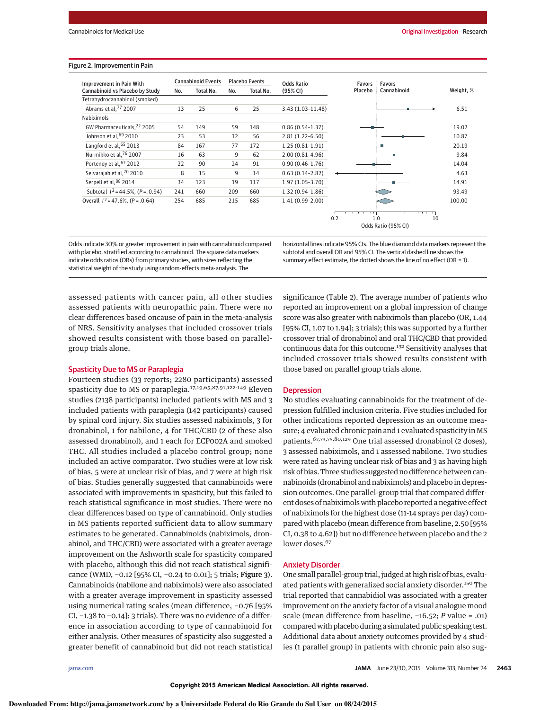#### Figure 2. Improvement in Pain

| Improvement in Pain With               | <b>Cannabinoid Events</b> |           |     | <b>Placebo Events</b> | <b>Odds Ratio</b>   | <b>Favors</b> | Favors                           |           |
|----------------------------------------|---------------------------|-----------|-----|-----------------------|---------------------|---------------|----------------------------------|-----------|
| Cannabinoid vs Placebo by Study        | No.                       | Total No. | No. | Total No.             | (95% CI)            | Placebo       | Cannabinoid                      | Weight, % |
| Tetrahydrocannabinol (smoked)          |                           |           |     |                       |                     |               |                                  |           |
| Abrams et al, 77 2007                  | 13                        | 25        | 6   | 25                    | 3.43 (1.03-11.48)   |               |                                  | 6.51      |
| Nabiximols                             |                           |           |     |                       |                     |               |                                  |           |
| GW Pharmaceuticals. <sup>22</sup> 2005 | 54                        | 149       | 59  | 148                   | $0.86(0.54-1.37)$   |               |                                  | 19.02     |
| Johnson et al, 69 2010                 | 23                        | 53        | 12  | 56                    | 2.81 (1.22-6.50)    |               |                                  | 10.87     |
| Langford et al, 65 2013                | 84                        | 167       | 77  | 172                   | $1.25(0.81-1.91)$   |               |                                  | 20.19     |
| Nurmikko et al. <sup>76</sup> 2007     | 16                        | 63        | 9   | 62                    | $2.00(0.81 - 4.96)$ |               |                                  | 9.84      |
| Portenoy et al, 67 2012                | 22                        | 90        | 24  | 91                    | $0.90(0.46-1.76)$   |               |                                  | 14.04     |
| Selvarajah et al, 70 2010              | 8                         | 15        | 9   | 14                    | $0.63(0.14-2.82)$   |               |                                  | 4.63      |
| Serpell et al, 88 2014                 | 34                        | 123       | 19  | 117                   | 1.97 (1.05-3.70)    |               |                                  | 14.91     |
| Subtotal $1^2$ = 44.5%, (P = .0.94)    | 241                       | 660       | 209 | 660                   | 1.32 (0.94-1.86)    |               |                                  | 93.49     |
| Overall $1^2$ = 47.6%. (P = .0.64)     | 254                       | 685       | 215 | 685                   | 1.41 (0.99-2.00)    |               |                                  | 100.00    |
|                                        |                           |           |     |                       |                     |               |                                  |           |
|                                        |                           |           |     |                       |                     | 0.2           | 1.0<br>10<br>Odds Ratio (95% CI) |           |

Odds indicate 30% or greater improvement in pain with cannabinoid compared with placebo, stratified according to cannabinoid. The square data markers indicate odds ratios (ORs) from primary studies, with sizes reflecting the statistical weight of the study using random-effects meta-analysis. The

horizontal lines indicate 95% CIs. The blue diamond data markers represent the subtotal and overall OR and 95% CI. The vertical dashed line shows the summary effect estimate, the dotted shows the line of no effect (OR = 1).

assessed patients with cancer pain, all other studies assessed patients with neuropathic pain. There were no clear differences based oncause of pain in the meta-analysis of NRS. Sensitivity analyses that included crossover trials showed results consistent with those based on parallelgroup trials alone.

## Spasticity Due to MS or Paraplegia

Fourteen studies (33 reports; 2280 participants) assessed spasticity due to MS or paraplegia.17,19,65,87,91,122-149 Eleven studies (2138 participants) included patients with MS and 3 included patients with paraplegia (142 participants) caused by spinal cord injury. Six studies assessed nabiximols, 3 for dronabinol, 1 for nabilone, 4 for THC/CBD (2 of these also assessed dronabinol), and 1 each for ECP002A and smoked THC. All studies included a placebo control group; none included an active comparator. Two studies were at low risk of bias, 5 were at unclear risk of bias, and 7 were at high risk of bias. Studies generally suggested that cannabinoids were associated with improvements in spasticity, but this failed to reach statistical significance in most studies. There were no clear differences based on type of cannabinoid. Only studies in MS patients reported sufficient data to allow summary estimates to be generated. Cannabinoids (nabiximols, dronabinol, and THC/CBD) were associated with a greater average improvement on the Ashworth scale for spasticity compared with placebo, although this did not reach statistical significance (WMD, −0.12 [95% CI, −0.24 to 0.01]; 5 trials; Figure 3). Cannabinoids (nabilone and nabiximols) were also associated with a greater average improvement in spasticity assessed using numerical rating scales (mean difference, −0.76 [95% CI, −1.38 to −0.14]; 3 trials). There was no evidence of a difference in association according to type of cannabinoid for either analysis. Other measures of spasticity also suggested a greater benefit of cannabinoid but did not reach statistical

significance (Table 2). The average number of patients who reported an improvement on a global impression of change score was also greater with nabiximols than placebo (OR, 1.44 [95% CI, 1.07 to 1.94]; 3 trials); this was supported by a further crossover trial of dronabinol and oral THC/CBD that provided continuous data for this outcome.<sup>132</sup> Sensitivity analyses that included crossover trials showed results consistent with those based on parallel group trials alone.

## **Depression**

No studies evaluating cannabinoids for the treatment of depression fulfilled inclusion criteria. Five studies included for other indications reported depression as an outcome measure; 4 evaluated chronic pain and 1 evaluated spasticity in MS patients.<sup>67,73,75,80,129</sup> One trial assessed dronabinol (2 doses), 3 assessed nabiximols, and 1 assessed nabilone. Two studies were rated as having unclear risk of bias and 3 as having high risk of bias. Three studies suggested no difference between cannabinoids (dronabinol and nabiximols) and placebo in depression outcomes. One parallel-group trial that compared different doses of nabiximols with placebo reported a negative effect of nabiximols for the highest dose (11-14 sprays per day) compared with placebo (mean difference from baseline, 2.50 [95% CI, 0.38 to 4.62]) but no difference between placebo and the 2 lower doses.<sup>67</sup>

#### Anxiety Disorder

One small parallel-group trial, judged at high risk of bias, evaluated patients with generalized social anxiety disorder.<sup>150</sup> The trial reported that cannabidiol was associated with a greater improvement on the anxiety factor of a visual analogue mood scale (mean difference from baseline, −16.52; P value = .01) comparedwith placebo during a simulated public speaking test. Additional data about anxiety outcomes provided by 4 studies (1 parallel group) in patients with chronic pain also sug-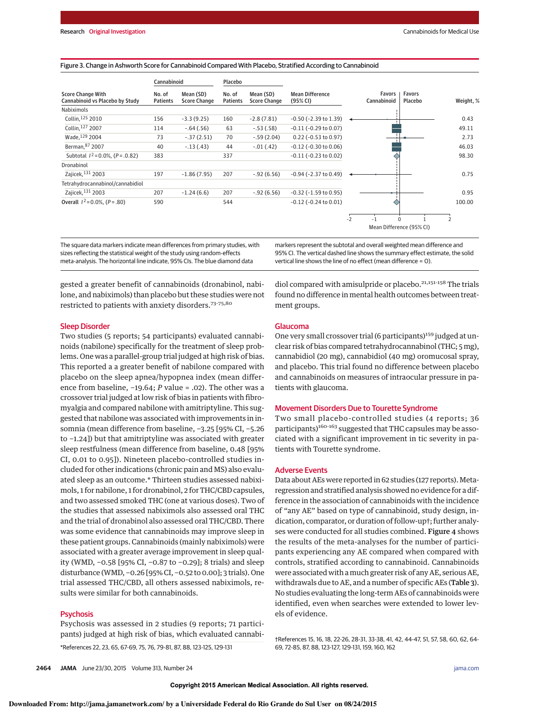#### Figure 3. Change in Ashworth Score for Cannabinoid Compared With Placebo, Stratified According to Cannabinoid

|                                                             | Cannabinoid               |                                  | Placebo                   |                                  |                                    |      |                          |                   |           |
|-------------------------------------------------------------|---------------------------|----------------------------------|---------------------------|----------------------------------|------------------------------------|------|--------------------------|-------------------|-----------|
| <b>Score Change With</b><br>Cannabinoid vs Placebo by Study | No. of<br><b>Patients</b> | Mean (SD)<br><b>Score Change</b> | No. of<br><b>Patients</b> | Mean (SD)<br><b>Score Change</b> | <b>Mean Difference</b><br>(95% CI) |      | Favors<br>Cannabinoid    | Favors<br>Placebo | Weight, % |
| Nabiximols                                                  |                           |                                  |                           |                                  |                                    |      |                          |                   |           |
| Collin, 125 2010                                            | 156                       | $-3.3(9.25)$                     | 160                       | $-2.8(7.81)$                     | $-0.50$ ( $-2.39$ to $1.39$ )      |      |                          |                   | 0.43      |
| Collin, 127 2007                                            | 114                       | $-.64(.56)$                      | 63                        | $-.53(.58)$                      | $-0.11$ ( $-0.29$ to $0.07$ )      |      |                          |                   | 49.11     |
| Wade, 129 2004                                              | 73                        | $-.37(2.51)$                     | 70                        | $-.59(2.04)$                     | $0.22$ (-0.53 to 0.97)             |      |                          |                   | 2.73      |
| Berman, 87 2007                                             | 40                        | $-.13(.43)$                      | 44                        | $-.01(.42)$                      | $-0.12$ ( $-0.30$ to $0.06$ )      |      |                          |                   | 46.03     |
| Subtotal $1^2$ = 0.0%, (P = .0.82)                          | 383                       |                                  | 337                       |                                  | $-0.11$ ( $-0.23$ to $0.02$ )      |      |                          |                   | 98.30     |
| Dronabinol                                                  |                           |                                  |                           |                                  |                                    |      |                          |                   |           |
| Zajicek, 131 2003                                           | 197                       | $-1.86(7.95)$                    | 207                       | $-.92(6.56)$                     | $-0.94$ ( $-2.37$ to $0.49$ )      |      |                          |                   | 0.75      |
| Tetrahydrocannabinol/cannabidiol                            |                           |                                  |                           |                                  |                                    |      |                          |                   |           |
| Zajicek, 131 2003                                           | 207                       | $-1.24(6.6)$                     | 207                       | $-.92(6.56)$                     | $-0.32$ ( $-1.59$ to 0.95)         |      |                          |                   | 0.95      |
| Overall $1^2$ = 0.0%, (P = .80)                             | 590                       |                                  | 544                       |                                  | $-0.12$ ( $-0.24$ to $0.01$ )      |      |                          |                   | 100.00    |
|                                                             |                           |                                  |                           |                                  |                                    | $-2$ | O                        |                   |           |
|                                                             |                           |                                  |                           |                                  |                                    |      | Mean Difference (95% CI) |                   |           |

The square data markers indicate mean differences from primary studies, with sizes reflecting the statistical weight of the study using random-effects meta-analysis. The horizontal line indicate, 95% CIs. The blue diamond data

markers represent the subtotal and overall weighted mean difference and 95% CI. The vertical dashed line shows the summary effect estimate, the solid vertical line shows the line of no effect (mean difference = 0).

gested a greater benefit of cannabinoids (dronabinol, nabilone, and nabiximols) than placebo but these studies were not restricted to patients with anxiety disorders.<sup>73-75,80</sup>

#### Sleep Disorder

Two studies (5 reports; 54 participants) evaluated cannabinoids (nabilone) specifically for the treatment of sleep problems. One was a parallel-group trial judged at high risk of bias. This reported a a greater benefit of nabilone compared with placebo on the sleep apnea/hypopnea index (mean difference from baseline, −19.64; P value = .02). The other was a crossover trial judged at low risk of bias in patients with fibromyalgia and compared nabilone with amitriptyline. This suggested that nabilone was associated with improvements in insomnia (mean difference from baseline, −3.25 [95% CI, −5.26 to −1.24]) but that amitriptyline was associated with greater sleep restfulness (mean difference from baseline, 0.48 [95% CI, 0.01 to 0.95]). Nineteen placebo-controlled studies included for other indications (chronic pain and MS) also evaluated sleep as an outcome.\* Thirteen studies assessed nabiximols, 1 for nabilone, 1 for dronabinol, 2 for THC/CBD capsules, and two assessed smoked THC (one at various doses). Two of the studies that assessed nabiximols also assessed oral THC and the trial of dronabinol also assessed oral THC/CBD. There was some evidence that cannabinoids may improve sleep in these patient groups. Cannabinoids (mainly nabiximols) were associated with a greater average improvement in sleep quality (WMD, −0.58 [95% CI, −0.87 to −0.29]; 8 trials) and sleep disturbance (WMD, −0.26 [95% CI, −0.52 to 0.00]; 3 trials). One trial assessed THC/CBD, all others assessed nabiximols, results were similar for both cannabinoids.

## **Psychosis**

Psychosis was assessed in 2 studies (9 reports; 71 participants) judged at high risk of bias, which evaluated cannabi-

\*References 22, 23, 65, 67-69, 75, 76, 79-81, 87, 88, 123-125, 129-131

diol compared with amisulpride or placebo.<sup>21,151-158</sup> The trials found no difference in mental health outcomes between treatment groups.

#### Glaucoma

One very small crossover trial (6 participants)<sup>159</sup> judged at unclear risk of bias compared tetrahydrocannabinol (THC; 5 mg), cannabidiol (20 mg), cannabidiol (40 mg) oromucosal spray, and placebo. This trial found no difference between placebo and cannabinoids on measures of intraocular pressure in patients with glaucoma.

## Movement Disorders Due to Tourette Syndrome

Two small placebo-controlled studies (4 reports; 36 participants)<sup>160-163</sup> suggested that THC capsules may be associated with a significant improvement in tic severity in patients with Tourette syndrome.

#### Adverse Events

Data about AEs were reported in 62 studies (127 reports). Metaregression and stratified analysis showed no evidence for a difference in the association of cannabinoids with the incidence of "any AE" based on type of cannabinoid, study design, indication, comparator, or duration of follow-up†; further analyses were conducted for all studies combined. Figure 4 shows the results of the meta-analyses for the number of participants experiencing any AE compared when compared with controls, stratified according to cannabinoid. Cannabinoids were associated with amuch greater risk of any AE, serious AE, withdrawals due to AE, and a number of specific AEs (Table 3). No studies evaluating the long-term AEs of cannabinoids were identified, even when searches were extended to lower levels of evidence.

†References 15, 16, 18, 22-26, 28-31, 33-38, 41, 42, 44-47, 51, 57, 58, 60, 62, 64- 69, 72-85, 87, 88, 123-127, 129-131, 159, 160, 162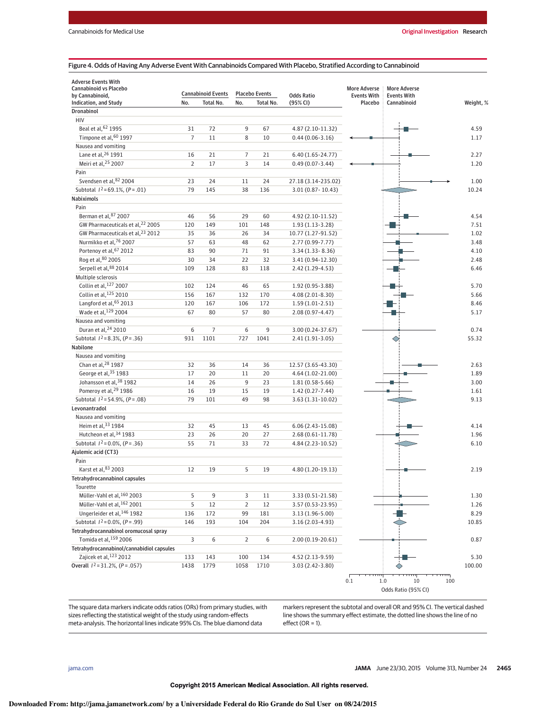#### Figure 4. Odds of Having Any Adverse Event With Cannabinoids Compared With Placebo, Stratified According to Cannabinoid

| <b>Adverse Events With</b><br>Cannabinoid vs Placebo<br>by Cannabinoid, |                | <b>Cannabinoid Events</b> |                | <b>Placebo Events</b> | <b>Odds Ratio</b>    | <b>More Adverse</b><br><b>Events With</b> | <b>More Adverse</b><br><b>Events With</b> |           |
|-------------------------------------------------------------------------|----------------|---------------------------|----------------|-----------------------|----------------------|-------------------------------------------|-------------------------------------------|-----------|
| Indication, and Study                                                   | No.            | <b>Total No.</b>          | No.            | Total No.             | (95% CI)             | Placebo                                   | Cannabinoid                               | Weight, % |
| <b>Dronabinol</b>                                                       |                |                           |                |                       |                      |                                           |                                           |           |
| HIV                                                                     |                |                           |                |                       |                      |                                           |                                           |           |
| Beal et al, 62 1995                                                     | 31             | 72                        | 9              | 67                    | 4.87 (2.10-11.32)    |                                           |                                           | 4.59      |
| Timpone et al, 60 1997                                                  | $\overline{7}$ | 11                        | 8              | 10                    | $0.44(0.06 - 3.16)$  |                                           |                                           | 1.17      |
| Nausea and vomiting                                                     |                |                           |                |                       |                      |                                           |                                           |           |
| Lane et al, 26 1991                                                     | 16             | 21                        | 7              | 21                    | $6.40(1.65 - 24.77)$ |                                           |                                           | 2.27      |
| Meiri et al, 25 2007                                                    | $\overline{2}$ | 17                        | 3              | 14                    | $0.49(0.07 - 3.44)$  |                                           |                                           | 1.20      |
| Pain                                                                    |                |                           |                |                       |                      |                                           |                                           |           |
| Svendsen et al, 82 2004                                                 | 23             | 24                        | 11             | 24                    | 27.18 (3.14-235.02)  |                                           |                                           | 1.00      |
| Subtotal $1^2$ =69.1%, $(P = .01)$                                      | 79             | 145                       | 38             | 136                   | 3.01 (0.87 - 10.43)  |                                           |                                           | 10.24     |
| <b>Nabiximols</b>                                                       |                |                           |                |                       |                      |                                           |                                           |           |
| Pain                                                                    |                |                           |                |                       |                      |                                           |                                           |           |
| Berman et al, 87 2007                                                   | 46             | 56                        | 29             | 60                    | 4.92 (2.10-11.52)    |                                           |                                           | 4.54      |
| GW Pharmaceuticals et al, 22 2005                                       | 120            | 149                       | 101            | 148                   | $1.93(1.13-3.28)$    |                                           |                                           | 7.51      |
| GW Pharmaceuticals et al, 23 2012                                       | 35             | 36                        | 26             | 34                    | 10.77 (1.27-91.52)   |                                           |                                           | 1.02      |
| Nurmikko et al, 76 2007                                                 | 57             | 63                        | 48             | 62                    | 2.77 (0.99-7.77)     |                                           |                                           | 3.48      |
| Portenoy et al, 67 2012                                                 | 83             | 90                        | 71             | 91                    | $3.34(1.33 - 8.36)$  |                                           |                                           | 4.10      |
| Rog et al, 80 2005                                                      | 30             | 34                        | 22             | 32                    | 3.41 (0.94-12.30)    |                                           |                                           | 2.48      |
| Serpell et al, 88 2014                                                  | 109            | 128                       | 83             | 118                   | 2.42 (1.29-4.53)     |                                           |                                           | 6.46      |
| Multiple sclerosis                                                      |                |                           |                |                       |                      |                                           |                                           |           |
| Collin et al, 127 2007                                                  | 102            | 124                       | 46             | 65                    | 1.92 (0.95-3.88)     |                                           |                                           | 5.70      |
| Collin et al, 125 2010                                                  | 156            | 167                       | 132            | 170                   | 4.08 (2.01-8.30)     |                                           |                                           | 5.66      |
| Langford et al, 65 2013                                                 | 120            | 167                       | 106            | 172                   | $1.59(1.01-2.51)$    |                                           |                                           | 8.46      |
| Wade et al, 129 2004                                                    | 67             |                           |                |                       |                      |                                           |                                           |           |
|                                                                         |                | 80                        | 57             | 80                    | 2.08 (0.97-4.47)     |                                           |                                           | 5.17      |
| Nausea and vomiting<br>Duran et al, 24 2010                             | 6              | 7                         | 6              | 9                     | 3.00 (0.24-37.67)    |                                           |                                           | 0.74      |
| Subtotal $1^2 = 8.3\%$ , $(P = .36)$                                    | 931            | 1101                      | 727            | 1041                  | 2.41 (1.91-3.05)     |                                           |                                           |           |
| Nabilone                                                                |                |                           |                |                       |                      |                                           |                                           | 55.32     |
|                                                                         |                |                           |                |                       |                      |                                           |                                           |           |
| Nausea and vomiting<br>Chan et al, 28 1987                              |                |                           |                |                       |                      |                                           |                                           |           |
| George et al, 35 1983                                                   | 32             | 36                        | 14             | 36                    | 12.57 (3.65-43.30)   |                                           |                                           | 2.63      |
| Johansson et al, 38 1982                                                | 17             | 20                        | 11             | 20                    | 4.64 (1.02-21.00)    |                                           |                                           | 1.89      |
| Pomeroy et al, <sup>29</sup> 1986                                       | 14             | 26                        | 9              | 23                    | $1.81(0.58-5.66)$    |                                           |                                           | 3.00      |
|                                                                         | 16             | 19                        | 15             | 19                    | $1.42(0.27 - 7.44)$  |                                           |                                           | 1.61      |
| Subtotal $1^2$ = 54.9%, (P = .08)                                       | 79             | 101                       | 49             | 98                    | 3.63 (1.31-10.02)    |                                           |                                           | 9.13      |
| Levonantradol                                                           |                |                           |                |                       |                      |                                           |                                           |           |
| Nausea and vomiting                                                     |                |                           |                |                       |                      |                                           |                                           |           |
| Heim et al, 33 1984                                                     | 32             | 45                        | 13             | 45                    | $6.06(2.43-15.08)$   |                                           |                                           | 4.14      |
| Hutcheon et al, 34 1983                                                 | 23             | 26                        | 20             | 27                    | $2.68(0.61 - 11.78)$ |                                           |                                           | 1.96      |
| Subtotal $1^2$ = 0.0%, (P = .36)                                        | 55             | 71                        | 33             | 72                    | 4.84 (2.23-10.52)    |                                           |                                           | 6.10      |
| Ajulemic acid (CT3)                                                     |                |                           |                |                       |                      |                                           |                                           |           |
| Pain                                                                    |                |                           |                |                       |                      |                                           |                                           |           |
| Karst et al, 83 2003                                                    | 12             | 19                        | 5              | 19                    | 4.80 (1.20-19.13)    |                                           |                                           | 2.19      |
| Tetrahydrocannabinol capsules                                           |                |                           |                |                       |                      |                                           |                                           |           |
| Tourette                                                                |                |                           |                |                       |                      |                                           |                                           |           |
| Müller-Vahl et al. <sup>160</sup> 2003                                  | 5              | 9                         | 3              | 11                    | 3.33 (0.51-21.58)    |                                           |                                           | 1.30      |
| Müller-Vahl et al, 162 2001                                             | 5              | 12                        | $\mathbf 2$    | 12                    | 3.57 (0.53-23.95)    |                                           |                                           | 1.26      |
| Ungerleider et al, 146 1982                                             | 136            | 172                       | 99             | 181                   | 3.13 (1.96-5.00)     |                                           |                                           | 8.29      |
| Subtotal $I^2 = 0.0\%$ , $(P = .99)$                                    | 146            | 193                       | 104            | 204                   | 3.16 (2.03-4.93)     |                                           |                                           | 10.85     |
| Tetrahydrocannabinol oromucosal spray                                   |                |                           |                |                       |                      |                                           |                                           |           |
| Tomida et al, 159 2006                                                  | 3              | 6                         | $\overline{2}$ | 6                     | $2.00(0.19 - 20.61)$ |                                           |                                           | 0.87      |
| Tetrahydrocannabinol/cannabidiol capsules                               |                |                           |                |                       |                      |                                           |                                           |           |
| Zajicek et al, 123 2012                                                 | 133            | 143                       | 100            | 134                   | 4.52 (2.13-9.59)     |                                           |                                           | 5.30      |
| Overall $I^2 = 31.2\%$ , (P = .057)                                     | 1438           | 1779                      | 1058           | 1710                  | 3.03 (2.42-3.80)     |                                           |                                           | 100.00    |
|                                                                         |                |                           |                |                       |                      | 0.1                                       | 1.0<br>10                                 | 100       |

The square data markers indicate odds ratios (ORs) from primary studies, with sizes reflecting the statistical weight of the study using random-effects meta-analysis. The horizontal lines indicate 95% CIs. The blue diamond data

markers represent the subtotal and overall OR and 95% CI. The vertical dashed line shows the summary effect estimate, the dotted line shows the line of no  $effect (OR = 1).$ 

Odds Ratio (95% CI)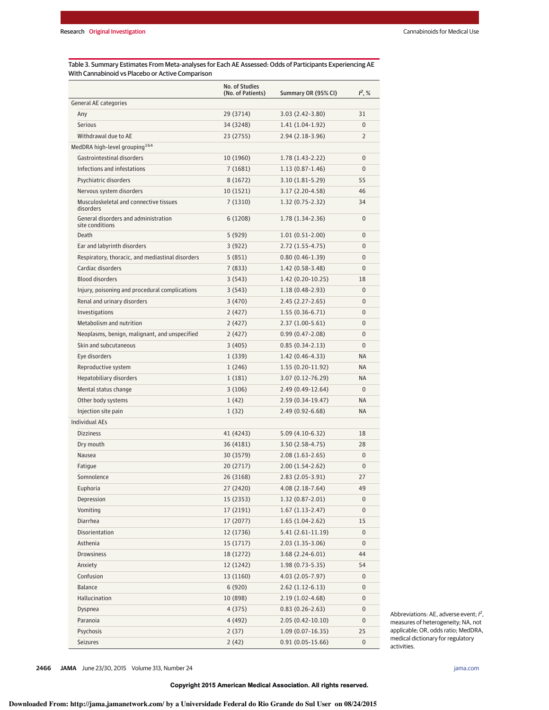Table 3. Summary Estimates From Meta-analyses for Each AE Assessed: Odds of Participants Experiencing AE With Cannabinoid vs Placebo or Active Comparison

|                                                         | No. of Studies<br>(No. of Patients) | Summary OR (95% CI)  | $1^2, %$       |
|---------------------------------------------------------|-------------------------------------|----------------------|----------------|
| General AE categories                                   |                                     |                      |                |
| Any                                                     | 29 (3714)                           | $3.03(2.42 - 3.80)$  | 31             |
| <b>Serious</b>                                          | 34 (3248)                           | $1.41(1.04-1.92)$    | $\Omega$       |
| Withdrawal due to AE                                    | 23 (2755)                           | 2.94 (2.18-3.96)     | $\overline{2}$ |
| MedDRA high-level grouping <sup>164</sup>               |                                     |                      |                |
| Gastrointestinal disorders                              | 10 (1960)                           | $1.78(1.43-2.22)$    | $\mathbf{0}$   |
| Infections and infestations                             | 7(1681)                             | $1.13(0.87-1.46)$    | $\Omega$       |
| Psychiatric disorders                                   | 8(1672)                             | $3.10(1.81-5.29)$    | 55             |
| Nervous system disorders                                | 10 (1521)                           | 3.17 (2.20-4.58)     | 46             |
| Musculoskeletal and connective tissues<br>disorders     | 7(1310)                             | $1.32(0.75-2.32)$    | 34             |
| General disorders and administration<br>site conditions | 6(1208)                             | 1.78 (1.34-2.36)     | $\mathbf{0}$   |
| <b>Death</b>                                            | 5 (929)                             | $1.01(0.51-2.00)$    | 0              |
| Ear and labyrinth disorders                             | 3(922)                              | $2.72(1.55-4.75)$    | $\Omega$       |
| Respiratory, thoracic, and mediastinal disorders        | 5(851)                              | $0.80(0.46-1.39)$    | 0              |
| Cardiac disorders                                       | 7(833)                              | $1.42(0.58-3.48)$    | 0              |
| <b>Blood disorders</b>                                  | 3(543)                              | 1.42 (0.20-10.25)    | 18             |
| Injury, poisoning and procedural complications          | 3(543)                              | $1.18(0.48-2.93)$    | $\mathbf{0}$   |
| Renal and urinary disorders                             | 3(470)                              | $2.45(2.27-2.65)$    | $\Omega$       |
| Investigations                                          | 2 (427)                             | $1.55(0.36-6.71)$    | $\Omega$       |
| Metabolism and nutrition                                | 2(427)                              | $2.37(1.00-5.61)$    | 0              |
| Neoplasms, benign, malignant, and unspecified           | 2(427)                              | $0.99(0.47 - 2.08)$  | $\Omega$       |
| Skin and subcutaneous                                   | 3(405)                              | $0.85(0.34-2.13)$    | $\Omega$       |
| Eye disorders                                           | 1(339)                              | 1.42 (0.46-4.33)     | <b>NA</b>      |
| Reproductive system                                     | 1(246)                              | 1.55 (0.20-11.92)    | <b>NA</b>      |
| Hepatobiliary disorders                                 | 1(181)                              | 3.07 (0.12-76.29)    | <b>NA</b>      |
| Mental status change                                    | 3(106)                              | 2.49 (0.49-12.64)    | $\Omega$       |
| Other body systems                                      | 1(42)                               | 2.59 (0.34-19.47)    | <b>NA</b>      |
| Injection site pain                                     | 1(32)                               | $2.49(0.92 - 6.68)$  | <b>NA</b>      |
| <b>Individual AEs</b>                                   |                                     |                      |                |
| <b>Dizziness</b>                                        | 41 (4243)                           | 5.09 (4.10-6.32)     | 18             |
| Dry mouth                                               | 36 (4181)                           | $3.50(2.58-4.75)$    | 28             |
| Nausea                                                  | 30 (3579)                           | $2.08(1.63-2.65)$    | $\mathbf{0}$   |
| Fatique                                                 | 20 (2717)                           | $2.00(1.54-2.62)$    | $\mathbf{0}$   |
| Somnolence                                              | 26 (3168)                           | 2.83 (2.05-3.91)     | 27             |
| Euphoria                                                | 27 (2420)                           | 4.08 (2.18-7.64)     | 49             |
| Depression                                              | 15 (2353)                           | $1.32(0.87 - 2.01)$  | $\mathbf{0}$   |
| Vomiting                                                | 17 (2191)                           | $1.67(1.13-2.47)$    | $\mathbf{0}$   |
| Diarrhea                                                | 17 (2077)                           | $1.65(1.04-2.62)$    | 15             |
| Disorientation                                          | 12 (1736)                           | $5.41(2.61-11.19)$   | $\pmb{0}$      |
| Asthenia                                                | 15(1717)                            | $2.03(1.35-3.06)$    | 0              |
| Drowsiness                                              | 18 (1272)                           | $3.68(2.24-6.01)$    | 44             |
| Anxiety                                                 | 12 (1242)                           | $1.98(0.73-5.35)$    | 54             |
| Confusion                                               | 13 (1160)                           | 4.03 (2.05-7.97)     | $\pmb{0}$      |
| Balance                                                 | 6(920)                              | $2.62(1.12-6.13)$    | $\pmb{0}$      |
| Hallucination                                           | 10 (898)                            | $2.19(1.02 - 4.68)$  | 0              |
| Dyspnea                                                 | 4 (375)                             | $0.83(0.26-2.63)$    | 0              |
| Paranoia                                                | 4 (492)                             | $2.05(0.42 - 10.10)$ | $\pmb{0}$      |
| Psychosis                                               | 2(37)                               | 1.09 (0.07-16.35)    | 25             |
| Seizures                                                | 2(42)                               | $0.91(0.05-15.66)$   | $\pmb{0}$      |

Abbreviations: AE, adverse event;  $l^2$ , measures of heterogeneity; NA, not applicable; OR, odds ratio; MedDRA, medical dictionary for regulatory activities.

**2466 JAMA** June 23/30, 2015 Volume 313, Number 24 **(Reprinted)** in the state of the state of the state of the state of the state of the state of the state of the state of the state of the state of the state of the state o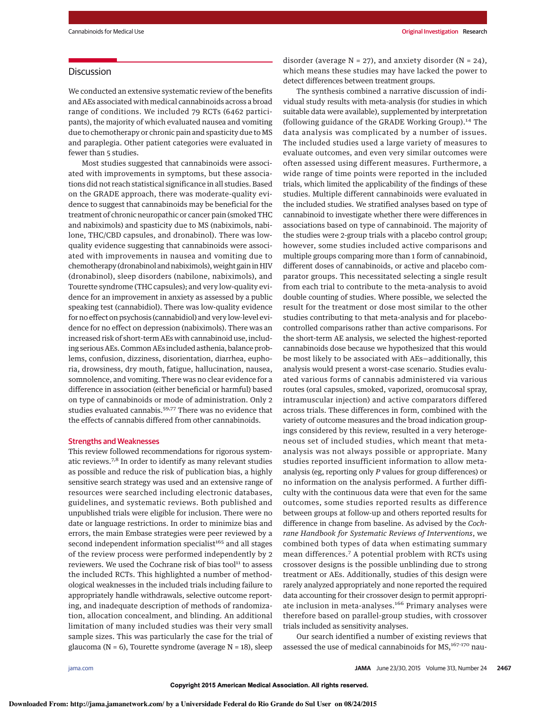# **Discussion**

We conducted an extensive systematic review of the benefits and AEs associated with medical cannabinoids across a broad range of conditions. We included 79 RCTs (6462 participants), the majority of which evaluated nausea and vomiting due to chemotherapy or chronic pain and spasticity due to MS and paraplegia. Other patient categories were evaluated in fewer than 5 studies.

Most studies suggested that cannabinoids were associated with improvements in symptoms, but these associations did not reach statistical significance in all studies. Based on the GRADE approach, there was moderate-quality evidence to suggest that cannabinoids may be beneficial for the treatment of chronic neuropathic or cancer pain (smoked THC and nabiximols) and spasticity due to MS (nabiximols, nabilone, THC/CBD capsules, and dronabinol). There was lowquality evidence suggesting that cannabinoids were associated with improvements in nausea and vomiting due to chemotherapy (dronabinol and nabiximols), weight gain in HIV (dronabinol), sleep disorders (nabilone, nabiximols), and Tourette syndrome (THC capsules); and very low-quality evidence for an improvement in anxiety as assessed by a public speaking test (cannabidiol). There was low-quality evidence for no effect on psychosis (cannabidiol) and very low-level evidence for no effect on depression (nabiximols). There was an increased risk of short-term AEs with cannabinoid use, including serious AEs. Common AEs included asthenia, balance problems, confusion, dizziness, disorientation, diarrhea, euphoria, drowsiness, dry mouth, fatigue, hallucination, nausea, somnolence, and vomiting. There was no clear evidence for a difference in association (either beneficial or harmful) based on type of cannabinoids or mode of administration. Only 2 studies evaluated cannabis.<sup>59,77</sup> There was no evidence that the effects of cannabis differed from other cannabinoids.

#### Strengths and Weaknesses

This review followed recommendations for rigorous systematic reviews.7,8 In order to identify as many relevant studies as possible and reduce the risk of publication bias, a highly sensitive search strategy was used and an extensive range of resources were searched including electronic databases, guidelines, and systematic reviews. Both published and unpublished trials were eligible for inclusion. There were no date or language restrictions. In order to minimize bias and errors, the main Embase strategies were peer reviewed by a second independent information specialist<sup>165</sup> and all stages of the review process were performed independently by 2 reviewers. We used the Cochrane risk of bias tool<sup>11</sup> to assess the included RCTs. This highlighted a number of methodological weaknesses in the included trials including failure to appropriately handle withdrawals, selective outcome reporting, and inadequate description of methods of randomization, allocation concealment, and blinding. An additional limitation of many included studies was their very small sample sizes. This was particularly the case for the trial of glaucoma ( $N = 6$ ), Tourette syndrome (average  $N = 18$ ), sleep

disorder (average  $N = 27$ ), and anxiety disorder ( $N = 24$ ), which means these studies may have lacked the power to detect differences between treatment groups.

The synthesis combined a narrative discussion of individual study results with meta-analysis (for studies in which suitable data were available), supplemented by interpretation (following guidance of the GRADE Working Group).<sup>14</sup> The data analysis was complicated by a number of issues. The included studies used a large variety of measures to evaluate outcomes, and even very similar outcomes were often assessed using different measures. Furthermore, a wide range of time points were reported in the included trials, which limited the applicability of the findings of these studies. Multiple different cannabinoids were evaluated in the included studies. We stratified analyses based on type of cannabinoid to investigate whether there were differences in associations based on type of cannabinoid. The majority of the studies were 2-group trials with a placebo control group; however, some studies included active comparisons and multiple groups comparing more than 1 form of cannabinoid, different doses of cannabinoids, or active and placebo comparator groups. This necessitated selecting a single result from each trial to contribute to the meta-analysis to avoid double counting of studies. Where possible, we selected the result for the treatment or dose most similar to the other studies contributing to that meta-analysis and for placebocontrolled comparisons rather than active comparisons. For the short-term AE analysis, we selected the highest-reported cannabinoids dose because we hypothesized that this would be most likely to be associated with AEs—additionally, this analysis would present a worst-case scenario. Studies evaluated various forms of cannabis administered via various routes (oral capsules, smoked, vaporized, oromucosal spray, intramuscular injection) and active comparators differed across trials. These differences in form, combined with the variety of outcome measures and the broad indication groupings considered by this review, resulted in a very heterogeneous set of included studies, which meant that metaanalysis was not always possible or appropriate. Many studies reported insufficient information to allow metaanalysis (eg, reporting only P values for group differences) or no information on the analysis performed. A further difficulty with the continuous data were that even for the same outcomes, some studies reported results as difference between groups at follow-up and others reported results for difference in change from baseline. As advised by the Cochrane Handbook for Systematic Reviews of Interventions, we combined both types of data when estimating summary mean differences.<sup>7</sup> A potential problem with RCTs using crossover designs is the possible unblinding due to strong treatment or AEs. Additionally, studies of this design were rarely analyzed appropriately and none reported the required data accounting for their crossover design to permit appropriate inclusion in meta-analyses.<sup>166</sup> Primary analyses were therefore based on parallel-group studies, with crossover trials included as sensitivity analyses.

Our search identified a number of existing reviews that assessed the use of medical cannabinoids for MS,<sup>167-170</sup> nau-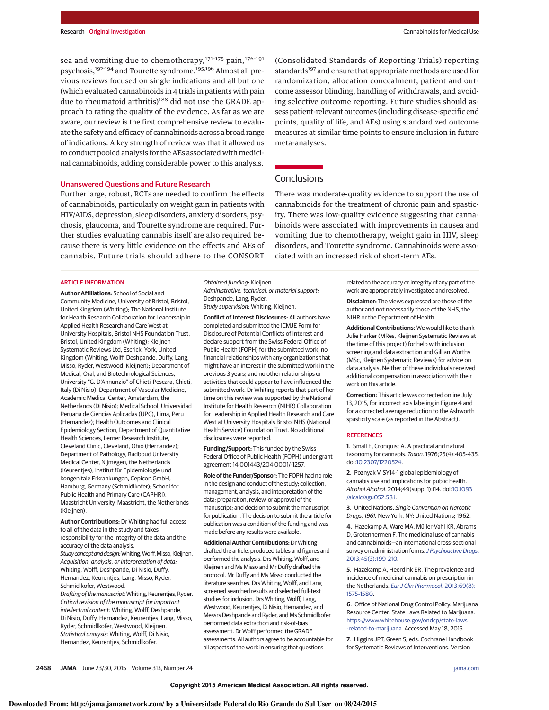sea and vomiting due to chemotherapy,  $171-175$  pain,  $176-191$ psychosis,<sup>192-194</sup> and Tourette syndrome.<sup>195,196</sup> Almost all previous reviews focused on single indications and all but one (which evaluated cannabinoids in 4 trials in patients with pain due to rheumatoid arthritis)<sup>188</sup> did not use the GRADE approach to rating the quality of the evidence. As far as we are aware, our review is the first comprehensive review to evaluate the safety and efficacy of cannabinoids across a broad range of indications. A key strength of review was that it allowed us to conduct pooled analysis for the AEs associated with medicinal cannabinoids, adding considerable power to this analysis.

#### Unanswered Questions and Future Research

Further large, robust, RCTs are needed to confirm the effects of cannabinoids, particularly on weight gain in patients with HIV/AIDS, depression, sleep disorders, anxiety disorders, psychosis, glaucoma, and Tourette syndrome are required. Further studies evaluating cannabis itself are also required because there is very little evidence on the effects and AEs of cannabis. Future trials should adhere to the CONSORT

(Consolidated Standards of Reporting Trials) reporting standards<sup>197</sup> and ensure that appropriate methods are used for randomization, allocation concealment, patient and outcome assessor blinding, handling of withdrawals, and avoiding selective outcome reporting. Future studies should assess patient-relevant outcomes (including disease-specific end points, quality of life, and AEs) using standardized outcome measures at similar time points to ensure inclusion in future meta-analyses.

# **Conclusions**

There was moderate-quality evidence to support the use of cannabinoids for the treatment of chronic pain and spasticity. There was low-quality evidence suggesting that cannabinoids were associated with improvements in nausea and vomiting due to chemotherapy, weight gain in HIV, sleep disorders, and Tourette syndrome. Cannabinoids were associated with an increased risk of short-term AEs.

#### ARTICLE INFORMATION

**Author Affiliations:** School of Social and Community Medicine, University of Bristol, Bristol, United Kingdom (Whiting); The National Institute for Health Research Collaboration for Leadership in Applied Health Research and Care West at University Hospitals, Bristol NHS Foundation Trust, Bristol, United Kingdom (Whiting); Kleijnen Systematic Reviews Ltd, Escrick, York, United Kingdom (Whiting, Wolff, Deshpande, Duffy, Lang, Misso, Ryder, Westwood, Kleijnen); Department of Medical, Oral, and Biotechnological Sciences, University "G. D'Annunzio" of Chieti-Pescara, Chieti, Italy (Di Nisio); Department of Vascular Medicine, Academic Medical Center, Amsterdam, the Netherlands (Di Nisio); Medical School, Universidad Peruana de Ciencias Aplicadas (UPC), Lima, Peru (Hernandez); Health Outcomes and Clinical Epidemiology Section, Department of Quantitative Health Sciences, Lerner Research Institute, Cleveland Clinic, Cleveland, Ohio (Hernandez); Department of Pathology, Radboud University Medical Center, Nijmegen, the Netherlands (Keurentjes); Institut für Epidemiologie und kongenitale Erkrankungen, Cepicon GmbH, Hamburg, Germany (Schmidlkofer); School for Public Health and Primary Care (CAPHRI), Maastricht University, Maastricht, the Netherlands (Kleijnen).

**Author Contributions:** Dr Whiting had full access to all of the data in the study and takes responsibility for the integrity of the data and the accuracy of the data analysis. Study concept and design: Whiting, Wolff, Misso, Kleijnen. Acquisition, analysis, or interpretation of data: Whiting, Wolff, Deshpande, Di Nisio, Duffy, Hernandez, Keurentjes, Lang, Misso, Ryder, Schmidlkofer, Westwood. Drafting of themanuscript:Whiting, Keurentjes, Ryder. Critical revision of the manuscript for important intellectual content: Whiting, Wolff, Deshpande,

Di Nisio, Duffy, Hernandez, Keurentjes, Lang, Misso, Ryder, Schmidlkofer, Westwood, Kleijnen. Statistical analysis: Whiting, Wolff, Di Nisio, Hernandez, Keurentjes, Schmidlkofer.

Obtained funding: Kleijnen. Administrative, technical, or material support: Deshpande, Lang, Ryder.

Study supervision: Whiting, Kleijnen. **Conflict of Interest Disclosures:** All authors have

completed and submitted the ICMJE Form for Disclosure of Potential Conflicts of Interest and declare support from the Swiss Federal Office of Public Health (FOPH) for the submitted work; no financial relationships with any organizations that might have an interest in the submitted work in the previous 3 years; and no other relationships or activities that could appear to have influenced the submitted work. Dr Whiting reports that part of her time on this review was supported by the National Institute for Health Research (NIHR) Collaboration for Leadership in Applied Health Research and Care West at University Hospitals Bristol NHS (National Health Service) Foundation Trust. No additional disclosures were reported.

**Funding/Support:** This funded by the Swiss Federal Office of Public Health (FOPH) under grant agreement 14.001443/204.0001/-1257.

**Role of the Funder/Sponsor:** The FOPH had no role in the design and conduct of the study; collection, management, analysis, and interpretation of the data; preparation, review, or approval of the manuscript; and decision to submit the manuscript for publication. The decision to submit the article for publication was a condition of the funding and was made before any results were available.

**Additional Author Contributions:**Dr Whiting drafted the article, produced tables and figures and performed the analysis. Drs Whiting, Wolff, and Kleijnen and Ms Misso and Mr Duffy drafted the protocol. Mr Duffy and Ms Misso conducted the literature searches. Drs Whiting, Wolff, and Lang screened searched results and selected full-text studies for inclusion. Drs Whiting, Wolff, Lang, Westwood, Keurentjes, Di Nisio, Hernandez, and Messrs Deshpande and Ryder, and Ms Schmidlkofer performed data extraction and risk-of-bias assessment. Dr Wolff performed the GRADE assessments. All authors agree to be accountable for all aspects of the work in ensuring that questions

related to the accuracy or integrity of any part of the work are appropriately investigated and resolved.

**Disclaimer:** The views expressed are those of the author and not necessarily those of the NHS, the NIHR or the Department of Health.

**Additional Contributions:** We would like to thank Julie Harker (MRes, Kleijnen Systematic Reviews at the time of this project) for help with inclusion screening and data extraction and Gillian Worthy (MSc, Kleijnen Systematic Reviews) for advice on data analysis. Neither of these individuals received additional compensation in association with their work on this article.

**Correction:** This article was corrected online July 13, 2015, for incorrect axis labeling in Figure 4 and for a corrected average reduction to the Ashworth spasticity scale (as reported in the Abstract).

#### **REFERENCES**

**1**. Small E, Cronquist A. A practical and natural taxonomy for cannabis. Taxon. 1976;25(4):405-435. doi[:10.2307/1220524.](http://dx.doi.org/10.2307/1220524)

**2**. Poznyak V. SY14-1 global epidemiology of cannabis use and implications for public health. Alcohol Alcohol. 2014;49(suppl 1):i14. doi:10.1093 /alcalc/agu052.58 i.

**3**. United Nations. Single Convention on Narcotic Drugs, 1961. New York, NY: United Nations; 1962.

**4**. Hazekamp A, Ware MA, Müller-Vahl KR, Abrams D, Grotenhermen F. The medicinal use of cannabis and cannabinoids—an international cross-sectional survey on administration forms. [J Psychoactive Drugs](http://www.ncbi.nlm.nih.gov/pubmed/24175484). [2013;45\(3\):199-210.](http://www.ncbi.nlm.nih.gov/pubmed/24175484)

**5**. Hazekamp A, Heerdink ER. The prevalence and incidence of medicinal cannabis on prescription in the Netherlands. [Eur J Clin Pharmacol](http://www.ncbi.nlm.nih.gov/pubmed/23588562). 2013;69(8): [1575-1580.](http://www.ncbi.nlm.nih.gov/pubmed/23588562)

**6**. Office of National Drug Control Policy. Marijuana Resource Center: State Laws Related to Marijuana. [https://www.whitehouse.gov/ondcp/state-laws](https://www.whitehouse.gov/ondcp/state-laws-related-to-marijuana) [-related-to-marijuana.](https://www.whitehouse.gov/ondcp/state-laws-related-to-marijuana) Accessed May 18, 2015.

**7**. Higgins JPT, Green S, eds. Cochrane Handbook for Systematic Reviews of Interventions. Version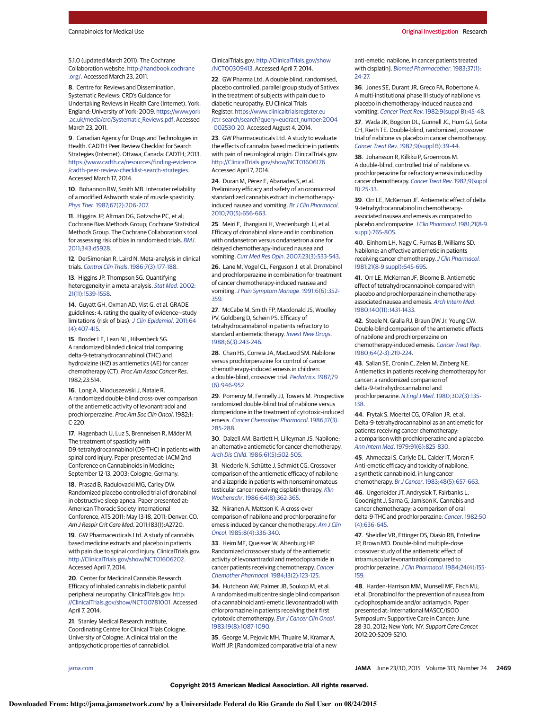5.1.0 (updated March 2011). The Cochrane Collaboration website. [http://handbook.cochrane](http://handbook.cochrane.org/) [.org/.](http://handbook.cochrane.org/) Accessed March 23, 2011.

**8**. Centre for Reviews and Dissemination. Systematic Reviews: CRD's Guidance for Undertaking Reviews in Health Care (Internet). York, England: University of York; 2009. [https://www.york](https://www.york.ac.uk/media/crd/Systematic_Reviews.pdf) [.ac.uk/media/crd/Systematic\\_Reviews.pdf.](https://www.york.ac.uk/media/crd/Systematic_Reviews.pdf) Accessed March 23, 2011.

**9**. Canadian Agency for Drugs and Technologies in Health. CADTH Peer Review Checklist for Search Strategies (Internet). Ottawa, Canada: CADTH; 2013. [https://www.cadth.ca/resources/finding-evidence](https://www.cadth.ca/resources/finding-evidence/cadth-peer-review-checklist-search-strategies) [/cadth-peer-review-checklist-search-strategies.](https://www.cadth.ca/resources/finding-evidence/cadth-peer-review-checklist-search-strategies) Accessed March 17, 2014.

**10**. Bohannon RW, Smith MB. Interrater reliability of a modified Ashworth scale of muscle spasticity. Phys Ther[. 1987;67\(2\):206-207.](http://www.ncbi.nlm.nih.gov/pubmed/3809245)

**11**. Higgins JP, Altman DG, Gøtzsche PC, et al; Cochrane Bias Methods Group; Cochrane Statistical Methods Group. The Cochrane Collaboration's tool for assessing risk of bias in randomised trials. [BMJ](http://www.ncbi.nlm.nih.gov/pubmed/22008217). [2011;343:d5928.](http://www.ncbi.nlm.nih.gov/pubmed/22008217)

**12**. DerSimonian R, Laird N. Meta-analysis in clinical trials. Control Clin Trials[. 1986;7\(3\):177-188.](http://www.ncbi.nlm.nih.gov/pubmed/3802833)

**13**. Higgins JP, Thompson SG. Quantifying heterogeneity in a meta-analysis. [Stat Med](http://www.ncbi.nlm.nih.gov/pubmed/12111919). 2002; [21\(11\):1539-1558.](http://www.ncbi.nlm.nih.gov/pubmed/12111919)

**14**. Guyatt GH, Oxman AD, Vist G, et al. GRADE guidelines: 4. rating the quality of evidence—study limitations (risk of bias). [J Clin Epidemiol](http://www.ncbi.nlm.nih.gov/pubmed/21247734). 2011;64 [\(4\):407-415.](http://www.ncbi.nlm.nih.gov/pubmed/21247734)

**15**. Broder LE, Lean NL, Hilsenbeck SG. A randomized blinded clinical trial comparing delta-9-tetrahydrocannabinol (THC) and hydroxizine (HZ) as antiemetics (AE) for cancer chemotherapy (CT). Proc Am Assoc Cancer Res. 1982;23:514.

**16**. Long A, Mioduszewski J, Natale R. A randomized double-blind cross-over comparison of the antiemetic activity of levonantradol and prochlorperazine. Proc Am Soc Clin Oncol. 1982;1: C-220.

**17**. Hagenbach U, Luz S, Brenneisen R, Mäder M. The treatment of spasticity with D9-tetrahydrocannabinol (D9-THC) in patients with spinal cord injury. Paper presented at: IACM 2nd Conference on Cannabinoids in Medicine; September 12-13, 2003; Cologne, Germany.

**18**. Prasad B, Radulovacki MG, Carley DW. Randomized placebo controlled trial of dronabinol in obstructive sleep apnea. Paper presented at: American Thoracic Society International Conference, ATS 2011; May 13-18, 2011; Denver, CO. Am J Respir Crit Care Med. 2011;183(1):A2720.

**19**. GW Pharmaceuticals Ltd. A study of cannabis based medicine extracts and placebo in patients with pain due to spinal cord injury. ClinicalTrials.gov. [http://ClinicalTrials.gov/show/NCT01606202.](http://ClinicalTrials.gov/show/NCT01606202) Accessed April 7, 2014.

**20**. Center for Medicinal Cannabis Research. Efficacy of inhaled cannabis in diabetic painful peripheral neuropathy. ClinicalTrials.gov. [http:](http://ClinicalTrials.gov/show/NCT00781001) [//ClinicalTrials.gov/show/NCT00781001.](http://ClinicalTrials.gov/show/NCT00781001) Accessed April 7, 2014.

**21**. Stanley Medical Research Institute, Coordinating Centre for Clinical Trials Cologne. University of Cologne. A clinical trial on the antipsychotic properties of cannabidiol.

ClinicalTrials.gov. [http://ClinicalTrials.gov/show](http://ClinicalTrials.gov/show/NCT00309413) [/NCT00309413.](http://ClinicalTrials.gov/show/NCT00309413) Accessed April 7, 2014.

**22**. GW Pharma Ltd. A double blind, randomised, placebo controlled, parallel group study of Sativex in the treatment of subjects with pain due to diabetic neuropathy. EU Clinical Trials Register. [https://www.clinicaltrialsregister.eu](https://www.clinicaltrialsregister.eu/ctr-search/search?query=eudract_number:2004-002530-20) [/ctr-search/search?query=eudract\\_number:2004](https://www.clinicaltrialsregister.eu/ctr-search/search?query=eudract_number:2004-002530-20) [-002530-20.](https://www.clinicaltrialsregister.eu/ctr-search/search?query=eudract_number:2004-002530-20) Accessed August 4, 2014.

**23**. GW Pharmaceuticals Ltd. A study to evaluate the effects of cannabis based medicine in patients with pain of neurological origin. ClinicalTrials.gov. <http://ClinicalTrials.gov/show/NCT01606176> Accessed April 7, 2014.

**24**. Duran M, Pérez E, Abanades S, et al. Preliminary efficacy and safety of an oromucosal standardized cannabis extract in chemotherapyinduced nausea and vomiting. [Br J Clin Pharmacol](http://www.ncbi.nlm.nih.gov/pubmed/21039759). [2010;70\(5\):656-663.](http://www.ncbi.nlm.nih.gov/pubmed/21039759)

**25**. Meiri E, Jhangiani H, Vredenburgh JJ, et al. Efficacy of dronabinol alone and in combination with ondansetron versus ondansetron alone for delayed chemotherapy-induced nausea and vomiting. Curr Med Res Opin[. 2007;23\(3\):533-543.](http://www.ncbi.nlm.nih.gov/pubmed/17355735)

**26**. Lane M, Vogel CL, Ferguson J, et al. Dronabinol and prochlorperazine in combination for treatment of cancer chemotherapy-induced nausea and vomiting. [J Pain Symptom Manage](http://www.ncbi.nlm.nih.gov/pubmed/1652611). 1991;6(6):352-[359.](http://www.ncbi.nlm.nih.gov/pubmed/1652611)

**27**. McCabe M, Smith FP, Macdonald JS, Woolley PV, Goldberg D, Schein PS. Efficacy of tetrahydrocannabinol in patients refractory to standard antiemetic therapy. [Invest New Drugs](http://www.ncbi.nlm.nih.gov/pubmed/2847994). [1988;6\(3\):243-246.](http://www.ncbi.nlm.nih.gov/pubmed/2847994)

**28**. Chan HS, Correia JA, MacLeod SM. Nabilone versus prochlorperazine for control of cancer chemotherapy-induced emesis in children: a double-blind, crossover trial. [Pediatrics](http://www.ncbi.nlm.nih.gov/pubmed/3035479). 1987;79 [\(6\):946-952.](http://www.ncbi.nlm.nih.gov/pubmed/3035479)

**29**. Pomeroy M, Fennelly JJ, Towers M. Prospective randomized double-blind trial of nabilone versus domperidone in the treatment of cytotoxic-induced emesis. [Cancer Chemother Pharmacol](http://www.ncbi.nlm.nih.gov/pubmed/3017596). 1986;17(3): [285-288.](http://www.ncbi.nlm.nih.gov/pubmed/3017596)

**30**. Dalzell AM, Bartlett H, Lilleyman JS. Nabilone: an alternative antiemetic for cancer chemotherapy. Arch Dis Child[. 1986;61\(5\):502-505.](http://www.ncbi.nlm.nih.gov/pubmed/3013104)

**31**. Niederle N, Schütte J, Schmidt CG. Crossover comparison of the antiemetic efficacy of nabilone and alizapride in patients with nonseminomatous testicular cancer receiving cisplatin therapy. [Klin](http://www.ncbi.nlm.nih.gov/pubmed/3009962) Wochenschr[. 1986;64\(8\):362-365.](http://www.ncbi.nlm.nih.gov/pubmed/3009962)

**32**. Niiranen A, Mattson K. A cross-over comparison of nabilone and prochlorperazine for emesis induced by cancer chemotherapy. [Am J Clin](http://www.ncbi.nlm.nih.gov/pubmed/3002167) Oncol[. 1985;8\(4\):336-340.](http://www.ncbi.nlm.nih.gov/pubmed/3002167)

**33**. Heim ME, Queisser W, Altenburg HP. Randomized crossover study of the antiemetic activity of levonantradol and metoclopramide in cancer patients receiving chemotherapy. [Cancer](http://www.ncbi.nlm.nih.gov/pubmed/6467496) [Chemother Pharmacol](http://www.ncbi.nlm.nih.gov/pubmed/6467496). 1984;13(2):123-125.

**34**. Hutcheon AW, Palmer JB, Soukop M, et al. A randomised multicentre single blind comparison of a cannabinoid anti-emetic (levonantradol) with chlorpromazine in patients receiving their first cytotoxic chemotherapy. [Eur J Cancer Clin Oncol](http://www.ncbi.nlm.nih.gov/pubmed/6352278). [1983;19\(8\):1087-1090.](http://www.ncbi.nlm.nih.gov/pubmed/6352278)

**35**. George M, Pejovic MH, Thuaire M, Kramar A, Wolff JP. [Randomized comparative trial of a new

**Copyright 2015 American Medical Association. All rights reserved.**

anti-emetic: nabilone, in cancer patients treated with cisplatin]. [Biomed Pharmacother](http://www.ncbi.nlm.nih.gov/pubmed/6311306). 1983;37(1): [24-27.](http://www.ncbi.nlm.nih.gov/pubmed/6311306)

**36**. Jones SE, Durant JR, Greco FA, Robertone A. A multi-institutional phase III study of nabilone vs placebo in chemotherapy-induced nausea and vomiting. Cancer Treat Rev. [1982;9\(suppl B\):45-48.](http://www.ncbi.nlm.nih.gov/pubmed/6299555)

**37**. Wada JK, Bogdon DL, Gunnell JC, Hum GJ, Gota CH, Rieth TE. Double-blind, randomized, crossover trial of nabilone vs placebo in cancer chemotherapy. Cancer Treat Rev. [1982;9\(suppl B\):39-44.](http://www.ncbi.nlm.nih.gov/pubmed/6299554)

**38**. Johansson R, Kilkku P, Groenroos M. A double-blind, controlled trial of nabilone vs. prochlorperazine for refractory emesis induced by cancer chemotherapy. [Cancer Treat Rev.](http://www.ncbi.nlm.nih.gov/pubmed/6299551) 1982;9(suppl [B\):25-33.](http://www.ncbi.nlm.nih.gov/pubmed/6299551)

**39**. Orr LE, McKernan JF. Antiemetic effect of delta 9-tetrahydrocannabinol in chemotherapyassociated nausea and emesis as compared to placebo and compazine. [J Clin Pharmacol.](http://www.ncbi.nlm.nih.gov/pubmed/6271846) 1981;21(8-9 [suppl\):76S-80S.](http://www.ncbi.nlm.nih.gov/pubmed/6271846)

**40**. Einhorn LH, Nagy C, Furnas B, Williams SD. Nabilone: an effective antiemetic in patients receiving cancer chemotherapy.[J Clin Pharmacol.](http://www.ncbi.nlm.nih.gov/pubmed/6271844) [1981;21\(8-9 suppl\):64S-69S.](http://www.ncbi.nlm.nih.gov/pubmed/6271844)

**41**. Orr LE, McKernan JF, Bloome B. Antiemetic effect of tetrahydrocannabinol: compared with placebo and prochlorperazine in chemotherapy-associated nausea and emesis. [Arch Intern Med](http://www.ncbi.nlm.nih.gov/pubmed/6254456). [1980;140\(11\):1431-1433.](http://www.ncbi.nlm.nih.gov/pubmed/6254456)

**42**. Steele N, Gralla RJ, Braun DW Jr, Young CW. Double-blind comparison of the antiemetic effects of nabilone and prochlorperazine on chemotherapy-induced emesis. [Cancer Treat Rep](http://www.ncbi.nlm.nih.gov/pubmed/6250699). [1980;64\(2-3\):219-224.](http://www.ncbi.nlm.nih.gov/pubmed/6250699)

**43**. Sallan SE, Cronin C, Zelen M, Zinberg NE. Antiemetics in patients receiving chemotherapy for cancer: a randomized comparison of delta-9-tetrahydrocannabinol and prochlorperazine. N Engl J Med[. 1980;302\(3\):135-](http://www.ncbi.nlm.nih.gov/pubmed/6985702) [138.](http://www.ncbi.nlm.nih.gov/pubmed/6985702)

**44**. Frytak S, Moertel CG, O'Fallon JR, et al. Delta-9-tetrahydrocannabinol as an antiemetic for patients receiving cancer chemotherapy: a comparison with prochlorperazine and a placebo. Ann Intern Med[. 1979;91\(6\):825-830.](http://www.ncbi.nlm.nih.gov/pubmed/517882)

**45**. Ahmedzai S, Carlyle DL, Calder IT, Moran F. Anti-emetic efficacy and toxicity of nabilone, a synthetic cannabinoid, in lung cancer chemotherapy. Br J Cancer[. 1983;48\(5\):657-663.](http://www.ncbi.nlm.nih.gov/pubmed/6315040)

**46**. Ungerleider JT, Andrysiak T, Fairbanks L, Goodnight J, Sarna G, Jamison K. Cannabis and cancer chemotherapy: a comparison of oral delta-9-THC and prochlorperazine. Cancer[. 1982;50](http://www.ncbi.nlm.nih.gov/pubmed/6284334) [\(4\):636-645.](http://www.ncbi.nlm.nih.gov/pubmed/6284334)

**47**. Sheidler VR, Ettinger DS, Diasio RB, Enterline JP, Brown MD. Double-blind multiple-dose crossover study of the antiemetic effect of intramuscular levonantradol compared to prochlorperazine. J Clin Pharmacol[. 1984;24\(4\):155-](http://www.ncbi.nlm.nih.gov/pubmed/6373843) [159.](http://www.ncbi.nlm.nih.gov/pubmed/6373843)

**48**. Harden-Harrison MM, Munsell MF, Fisch MJ, et al. Dronabinol for the prevention of nausea from cyclophosphamide and/or adriamycin. Paper presented at: International MASCC/ISOO Symposium: Supportive Care in Cancer; June 28-30, 2012; New York, NY. Support Care Cancer. 2012;20:S209-S210.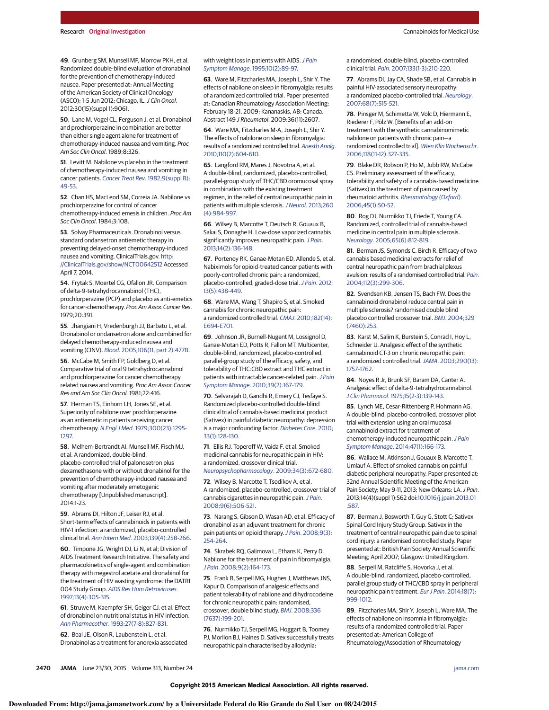**49**. Grunberg SM, Munsell MF, Morrow PKH, et al. Randomized double-blind evaluation of dronabinol for the prevention of chemotherapy-induced nausea. Paper presented at: Annual Meeting of the American Society of Clinical Oncology (ASCO); 1-5 Jun 2012; Chicago, IL. J Clin Oncol. 2012;30(15)(suppl 1):9061.

**50**. Lane M, Vogel CL, Ferguson J, et al. Dronabinol and prochlorperazine in combination are better than either single agent alone for treatment of chemotherapy-induced nausea and vomiting. Proc Am Soc Clin Oncol. 1989;8:326.

**51**. Levitt M. Nabilone vs placebo in the treatment of chemotherapy-induced nausea and vomiting in cancer patients. [Cancer Treat Rev.](http://www.ncbi.nlm.nih.gov/pubmed/6299556) 1982;9(suppl B): [49-53.](http://www.ncbi.nlm.nih.gov/pubmed/6299556)

**52**. Chan HS, MacLeod SM, Correia JA. Nabilone vs prochlorperazine for control of cancer chemotherapy-induced emesis in children. Proc Am Soc Clin Oncol. 1984;3:108.

**53**. Solvay Pharmaceuticals. Dronabinol versus standard ondansetron antiemetic therapy in preventing delayed-onset chemotherapy-induced nausea and vomiting. ClinicalTrials.gov. [http:](http://ClinicalTrials.gov/show/NCT00642512) [//ClinicalTrials.gov/show/NCT00642512](http://ClinicalTrials.gov/show/NCT00642512) Accessed April 7, 2014.

**54**. Frytak S, Moertel CG, Ofallon JR. Comparison of delta-9-tetrahydrocannabinol (THC), prochlorperazine (PCP) and placebo as anti-emetics for cancer-chemotherapy. Proc Am Assoc Cancer Res. 1979;20:391.

**55**. Jhangiani H, Vredenburgh JJ, Barbato L, et al. Dronabinol or ondansetron alone and combined for delayed chemotherapy-induced nausea and vomiting (CINV). Blood[. 2005;106\(11, part 2\):477B.](http://www.ncbi.nlm.nih.gov/pubmed/16342401)

**56**. McCabe M, Smith FP, Goldberg D, et al. Comparative trial of oral 9 tetrahydrocannabinol and prochlorperazine for cancer chemotherapy related nausea and vomiting. Proc Am Assoc Cancer Res and Am Soc Clin Oncol. 1981;22:416.

**57**. Herman TS, Einhorn LH, Jones SE, et al. Superiority of nabilone over prochlorperazine as an antiemetic in patients receiving cancer chemotherapy. N Engl J Med[. 1979;300\(23\):1295-](http://www.ncbi.nlm.nih.gov/pubmed/375088) [1297.](http://www.ncbi.nlm.nih.gov/pubmed/375088)

**58**. Melhem-Bertrandt AI, Munsell MF, Fisch MJ, et al. A randomized, double-blind, placebo-controlled trial of palonosetron plus dexamethasone with or without dronabinol for the prevention of chemotherapy-induced nausea and vomiting after moderately emetogenic chemotherapy [Unpublished manuscript]. 2014:1-23.

**59**. Abrams DI, Hilton JF, Leiser RJ, et al. Short-term effects of cannabinoids in patients with HIV-1 infection: a randomized, placebo-controlled clinical trial. Ann Intern Med[. 2003;139\(4\):258-266.](http://www.ncbi.nlm.nih.gov/pubmed/12965981)

**60**. Timpone JG, Wright DJ, Li N, et al; Division of AIDS Treatment Research Initiative. The safety and pharmacokinetics of single-agent and combination therapy with megestrol acetate and dronabinol for the treatment of HIV wasting syndrome: the DATRI 004 Study Group. [AIDS Res Hum Retroviruses](http://www.ncbi.nlm.nih.gov/pubmed/9071430). [1997;13\(4\):305-315.](http://www.ncbi.nlm.nih.gov/pubmed/9071430)

**61**. Struwe M, Kaempfer SH, Geiger CJ, et al. Effect of dronabinol on nutritional status in HIV infection. Ann Pharmacother[. 1993;27\(7-8\):827-831.](http://www.ncbi.nlm.nih.gov/pubmed/8395916)

**62**. Beal JE, Olson R, Laubenstein L, et al. Dronabinol as a treatment for anorexia associated

#### with weight loss in patients with AIDS. [J Pain](http://www.ncbi.nlm.nih.gov/pubmed/7730690) Symptom Manage[. 1995;10\(2\):89-97.](http://www.ncbi.nlm.nih.gov/pubmed/7730690)

**63**. Ware M, Fitzcharles MA, Joseph L, Shir Y. The effects of nabilone on sleep in fibromyalgia: results of a randomized controlled trial. Paper presented at: Canadian Rheumatology Association Meeting; February 18-21, 2009; Kananaskis, AB: Canada. Abstract 149 J Rheumatol. 2009;36(11):2607.

**64**. Ware MA, Fitzcharles M-A, Joseph L, Shir Y. The effects of nabilone on sleep in fibromyalgia: results of a randomized controlled trial. [Anesth Analg](http://www.ncbi.nlm.nih.gov/pubmed/20007734). [2010;110\(2\):604-610.](http://www.ncbi.nlm.nih.gov/pubmed/20007734)

**65**. Langford RM, Mares J, Novotna A, et al. A double-blind, randomized, placebo-controlled, parallel-group study of THC/CBD oromucosal spray in combination with the existing treatment regimen, in the relief of central neuropathic pain in patients with multiple sclerosis. J Neurol[. 2013;260](http://www.ncbi.nlm.nih.gov/pubmed/23180178) [\(4\):984-997.](http://www.ncbi.nlm.nih.gov/pubmed/23180178)

**66**. Wilsey B, Marcotte T, Deutsch R, Gouaux B, Sakai S, Donaghe H. Low-dose vaporized cannabis significantly improves neuropathic pain. [J Pain](http://www.ncbi.nlm.nih.gov/pubmed/23237736). [2013;14\(2\):136-148.](http://www.ncbi.nlm.nih.gov/pubmed/23237736)

**67**. Portenoy RK, Ganae-Motan ED, Allende S, et al. Nabiximols for opioid-treated cancer patients with poorly-controlled chronic pain: a randomized, placebo-controlled, graded-dose trial. J Pain[. 2012;](http://www.ncbi.nlm.nih.gov/pubmed/22483680) [13\(5\):438-449.](http://www.ncbi.nlm.nih.gov/pubmed/22483680)

**68**. Ware MA, Wang T, Shapiro S, et al. Smoked cannabis for chronic neuropathic pain: a randomized controlled trial. CMAJ[. 2010;182\(14\):](http://www.ncbi.nlm.nih.gov/pubmed/20805210) [E694-E701.](http://www.ncbi.nlm.nih.gov/pubmed/20805210)

**69**. Johnson JR, Burnell-Nugent M, Lossignol D, Ganae-Motan ED, Potts R, Fallon MT. Multicenter, double-blind, randomized, placebo-controlled, parallel-group study of the efficacy, safety, and tolerability of THC:CBD extract and THC extract in patients with intractable cancer-related pain. [J Pain](http://www.ncbi.nlm.nih.gov/pubmed/19896326) Symptom Manage[. 2010;39\(2\):167-179.](http://www.ncbi.nlm.nih.gov/pubmed/19896326)

**70**. Selvarajah D, Gandhi R, Emery CJ, Tesfaye S. Randomized placebo-controlled double-blind clinical trial of cannabis-based medicinal product (Sativex) in painful diabetic neuropathy: depression is a major confounding factor. [Diabetes Care](http://www.ncbi.nlm.nih.gov/pubmed/19808912). 2010; [33\(1\):128-130.](http://www.ncbi.nlm.nih.gov/pubmed/19808912)

**71**. Ellis RJ, Toperoff W, Vaida F, et al. Smoked medicinal cannabis for neuropathic pain in HIV: a randomized, crossover clinical trial. [Neuropsychopharmacology](http://www.ncbi.nlm.nih.gov/pubmed/18688212). 2009;34(3):672-680.

**72**. Wilsey B, Marcotte T, Tsodikov A, et al. A randomized, placebo-controlled, crossover trial of cannabis cigarettes in neuropathic pain. [J Pain](http://www.ncbi.nlm.nih.gov/pubmed/18403272). [2008;9\(6\):506-521.](http://www.ncbi.nlm.nih.gov/pubmed/18403272)

**73**. Narang S, Gibson D, Wasan AD, et al. Efficacy of dronabinol as an adjuvant treatment for chronic pain patients on opioid therapy. J Pain[. 2008;9\(3\):](http://www.ncbi.nlm.nih.gov/pubmed/18088560) [254-264.](http://www.ncbi.nlm.nih.gov/pubmed/18088560)

**74**. Skrabek RQ, Galimova L, Ethans K, Perry D. Nabilone for the treatment of pain in fibromyalgia. J Pain[. 2008;9\(2\):164-173.](http://www.ncbi.nlm.nih.gov/pubmed/17974490)

**75**. Frank B, Serpell MG, Hughes J, Matthews JNS, Kapur D. Comparison of analgesic effects and patient tolerability of nabilone and dihydrocodeine for chronic neuropathic pain: randomised, crossover, double blind study. BMJ[. 2008;336](http://www.ncbi.nlm.nih.gov/pubmed/18182416) [\(7637\):199-201.](http://www.ncbi.nlm.nih.gov/pubmed/18182416)

**76**. Nurmikko TJ, Serpell MG, Hoggart B, Toomey PJ, Morlion BJ, Haines D. Sativex successfully treats neuropathic pain characterised by allodynia:

a randomised, double-blind, placebo-controlled clinical trial. Pain[. 2007;133\(1-3\):210-220.](http://www.ncbi.nlm.nih.gov/pubmed/17997224)

**77**. Abrams DI, Jay CA, Shade SB, et al. Cannabis in painful HIV-associated sensory neuropathy: a randomized placebo-controlled trial. [Neurology](http://www.ncbi.nlm.nih.gov/pubmed/17296917). [2007;68\(7\):515-521.](http://www.ncbi.nlm.nih.gov/pubmed/17296917)

**78**. Pinsger M, Schimetta W, Volc D, Hiermann E, Riederer F, Pölz W. [Benefits of an add-on treatment with the synthetic cannabinomimetic nabilone on patients with chronic pain—a randomized controlled trial]. [Wien Klin Wochenschr](http://www.ncbi.nlm.nih.gov/pubmed/16855921). [2006;118\(11-12\):327-335.](http://www.ncbi.nlm.nih.gov/pubmed/16855921)

**79**. Blake DR, Robson P, Ho M, Jubb RW, McCabe CS. Preliminary assessment of the efficacy, tolerability and safety of a cannabis-based medicine (Sativex) in the treatment of pain caused by rheumatoid arthritis. [Rheumatology \(Oxford\)](http://www.ncbi.nlm.nih.gov/pubmed/16282192). [2006;45\(1\):50-52.](http://www.ncbi.nlm.nih.gov/pubmed/16282192)

**80**. Rog DJ, Nurmikko TJ, Friede T, Young CA. Randomized, controlled trial of cannabis-based medicine in central pain in multiple sclerosis. Neurology[. 2005;65\(6\):812-819.](http://www.ncbi.nlm.nih.gov/pubmed/16186518)

**81**. Berman JS, Symonds C, Birch R. Efficacy of two cannabis based medicinal extracts for relief of central neuropathic pain from brachial plexus avulsion: results of a randomised controlled trial. [Pain](http://www.ncbi.nlm.nih.gov/pubmed/15561385). [2004;112\(3\):299-306.](http://www.ncbi.nlm.nih.gov/pubmed/15561385)

**82**. Svendsen KB, Jensen TS, Bach FW. Does the cannabinoid dronabinol reduce central pain in multiple sclerosis? randomised double blind placebo controlled crossover trial. BMJ[. 2004;329](http://www.ncbi.nlm.nih.gov/pubmed/15258006) [\(7460\):253.](http://www.ncbi.nlm.nih.gov/pubmed/15258006)

**83**. Karst M, Salim K, Burstein S, Conrad I, Hoy L, Schneider U. Analgesic effect of the synthetic cannabinoid CT-3 on chronic neuropathic pain: a randomized controlled trial. JAMA[. 2003;290\(13\):](http://www.ncbi.nlm.nih.gov/pubmed/14519710) [1757-1762.](http://www.ncbi.nlm.nih.gov/pubmed/14519710)

**84**. Noyes R Jr, Brunk SF, Baram DA, Canter A. Analgesic effect of delta-9-tetrahydrocannabinol. J Clin Pharmacol[. 1975;15\(2-3\):139-143.](http://www.ncbi.nlm.nih.gov/pubmed/1091664)

**85**. Lynch ME, Cesar-Rittenberg P, Hohmann AG. A double-blind, placebo-controlled, crossover pilot trial with extension using an oral mucosal cannabinoid extract for treatment of chemotherapy-induced neuropathic pain. [J Pain](http://www.ncbi.nlm.nih.gov/pubmed/23742737) Symptom Manage[. 2014;47\(1\):166-173.](http://www.ncbi.nlm.nih.gov/pubmed/23742737)

**86**. Wallace M, Atkinson J, Gouaux B, Marcotte T, Umlauf A. Effect of smoked cannabis on painful diabetic peripheral neuropathy. Paper presented at: 32nd Annual Scientific Meeting of the American Pain Society; May 9-11, 2013; New Orleans: LA. J Pain. 2013;14(4)(suppl 1):S62 doi[:10.1016/j.jpain.2013.01](http://dx.doi.org/10.1016/j.jpain.2013.01.587) [.587.](http://dx.doi.org/10.1016/j.jpain.2013.01.587)

**87**. Berman J, Bosworth T, Guy G, Stott C; Sativex Spinal Cord Injury Study Group. Sativex in the treatment of central neuropathic pain due to spinal cord injury: a randomised controlled study. Paper presented at: British Pain Society Annual Scientific Meeting; April 2007; Glasgow: United Kingdom.

**88**. Serpell M, Ratcliffe S, Hovorka J, et al. A double-blind, randomized, placebo-controlled, parallel group study of THC/CBD spray in peripheral neuropathic pain treatment. Eur J Pain[. 2014;18\(7\):](http://www.ncbi.nlm.nih.gov/pubmed/24420962) [999-1012.](http://www.ncbi.nlm.nih.gov/pubmed/24420962)

**89**. Fitzcharles MA, Shir Y, Joseph L, Ware MA. The effects of nabilone on insomnia in fibromyalgia: results of a randomized controlled trial. Paper presented at: American College of Rheumatology/Association of Rheumatology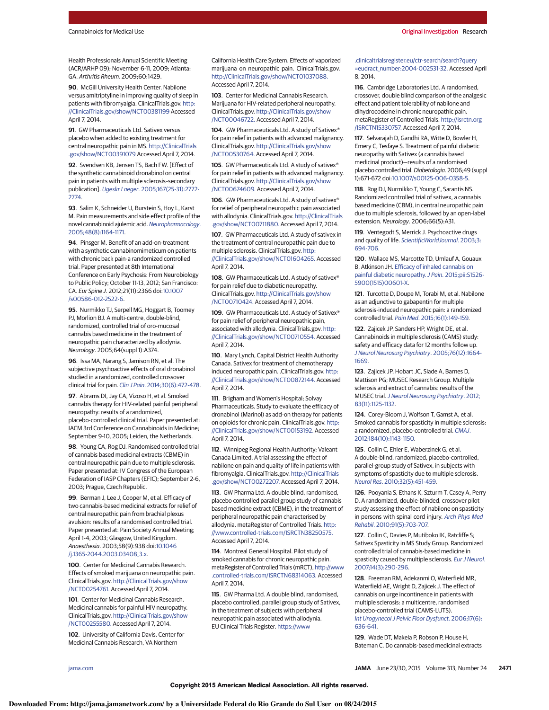Health Professionals Annual Scientific Meeting (ACR/ARHP 09); November 6-11, 2009; Atlanta: GA. Arthritis Rheum. 2009;60:1429.

**90**. McGill University Health Center. Nabilone versus amitriptyline in improving quality of sleep in patients with fibromyalgia. ClinicalTrials.gov. [http:](http://ClinicalTrials.gov/show/NCT00381199) [//ClinicalTrials.gov/show/NCT00381199](http://ClinicalTrials.gov/show/NCT00381199) Accessed April 7, 2014.

**91**. GW Pharmaceuticals Ltd. Sativex versus placebo when added to existing treatment for central neuropathic pain in MS. [http://ClinicalTrials](http://ClinicalTrials.gov/show/NCT00391079) [.gov/show/NCT00391079](http://ClinicalTrials.gov/show/NCT00391079) Accessed April 7, 2014.

**92**. Svendsen KB, Jensen TS, Bach FW. [Effect of the synthetic cannabinoid dronabinol on central pain in patients with multiple sclerosis–secondary publication]. Ugeskr Laeger. [2005;167\(25-31\):2772-](http://www.ncbi.nlm.nih.gov/pubmed/16014264) [2774.](http://www.ncbi.nlm.nih.gov/pubmed/16014264)

**93**. Salim K, Schneider U, Burstein S, Hoy L, Karst M. Pain measurements and side effect profile of the novel cannabinoid ajulemic acid. [Neuropharmacology](http://www.ncbi.nlm.nih.gov/pubmed/15910892). [2005;48\(8\):1164-1171.](http://www.ncbi.nlm.nih.gov/pubmed/15910892)

**94**. Pinsger M. Benefit of an add-on-treatment with a synthetic cannabinomimeticum on patients with chronic back pain-a randomized controlled trial. Paper presented at 8th International Conference on Early Psychosis: From Neurobiology to Public Policy; October 11-13, 2012; San Francisco: CA. Eur Spine J. 2012;21(11):2366 doi[:10.1007](http://dx.doi.org/10.1007/s00586-012-2522-6) [/s00586-012-2522-6.](http://dx.doi.org/10.1007/s00586-012-2522-6)

**95**. Nurmikko TJ, Serpell MG, Hoggart B, Toomey PJ, Morlion BJ. A multi-centre, double-blind, randomized, controlled trial of oro-mucosal cannabis based medicine in the treatment of neuropathic pain characterized by allodynia. Neurology. 2005;64(suppl 1):A374.

**96**. Issa MA, Narang S, Jamison RN, et al. The subjective psychoactive effects of oral dronabinol studied in a randomized, controlled crossover clinical trial for pain. Clin J Pain[. 2014;30\(6\):472-478.](http://www.ncbi.nlm.nih.gov/pubmed/24281276)

**97**. Abrams DI, Jay CA, Vizoso H, et al. Smoked cannabis therapy for HIV-related painful peripheral neuropathy: results of a randomized, placebo-controlled clinical trial. Paper presented at: IACM 3rd Conference on Cannabinoids in Medicine; September 9-10, 2005; Leiden, the Netherlands.

**98**. Young CA, Rog DJ. Randomised controlled trial of cannabis based medicinal extracts (CBME) in central neuropathic pain due to multiple sclerosis. Paper presented at: IV Congress of the European Federation of IASP Chapters (EFIC); September 2-6, 2003; Prague, Czech Republic.

**99**. Berman J, Lee J, Cooper M, et al. Efficacy of two cannabis-based medicinal extracts for relief of central neuropathic pain from brachial plexus avulsion: results of a randomised controlled trial. Paper presented at: Pain Society Annual Meeting; April 1-4, 2003; Glasgow, United Kingdom. Anaesthesia. 2003;58(9):938 doi[:10.1046](http://dx.doi.org/10.1046/j.1365-2044.2003.03408_3.x) [/j.1365-2044.2003.03408\\_3.x.](http://dx.doi.org/10.1046/j.1365-2044.2003.03408_3.x)

**100**. Center for Medicinal Cannabis Research. Effects of smoked marijuana on neuropathic pain. ClinicalTrials.gov. [http://ClinicalTrials.gov/show](http://ClinicalTrials.gov/show/NCT00254761) [/NCT00254761.](http://ClinicalTrials.gov/show/NCT00254761) Accessed April 7, 2014.

**101**. Center for Medicinal Cannabis Research. Medicinal cannabis for painful HIV neuropathy. ClinicalTrials.gov. [http://ClinicalTrials.gov/show](http://ClinicalTrials.gov/show/NCT00255580) [/NCT00255580.](http://ClinicalTrials.gov/show/NCT00255580) Accessed April 7, 2014.

**102**. University of California Davis. Center for Medicinal Cannabis Research, VA Northern

California Health Care System. Effects of vaporized marijuana on neuropathic pain. ClinicalTrials.gov. [http://ClinicalTrials.gov/show/NCT01037088.](http://ClinicalTrials.gov/show/NCT01037088) Accessed April 7, 2014.

**103**. Center for Medicinal Cannabis Research. Marijuana for HIV-related peripheral neuropathy. ClinicalTrials.gov. [http://ClinicalTrials.gov/show](http://ClinicalTrials.gov/show/NCT00046722) [/NCT00046722.](http://ClinicalTrials.gov/show/NCT00046722) Accessed April 7, 2014.

**104**. GW Pharmaceuticals Ltd. A study of Sativex® for pain relief in patients with advanced malignancy. ClinicalTrials.gov. [http://ClinicalTrials.gov/show](http://ClinicalTrials.gov/show/NCT00530764) [/NCT00530764.](http://ClinicalTrials.gov/show/NCT00530764) Accessed April 7, 2014.

**105**. GW Pharmaceuticals Ltd. A study of sativex® for pain relief in patients with advanced malignancy. ClinicalTrials.gov. [http://ClinicalTrials.gov/show](http://ClinicalTrials.gov/show/NCT00674609) [/NCT00674609.](http://ClinicalTrials.gov/show/NCT00674609) Accessed April 7, 2014.

**106**. GW Pharmaceuticals Ltd. A study of sativex® for relief of peripheral neuropathic pain associated with allodynia. ClinicalTrials.gov. [http://ClinicalTrials](http://ClinicalTrials.gov/show/NCT00711880) [.gov/show/NCT00711880.](http://ClinicalTrials.gov/show/NCT00711880) Accessed April 7, 2014.

**107**. GW Pharmaceuticals Ltd. A study of sativex in the treatment of central neuropathic pain due to multiple sclerosis. ClinicalTrials.gov. [http:](http://ClinicalTrials.gov/show/NCT01604265) [//ClinicalTrials.gov/show/NCT01604265.](http://ClinicalTrials.gov/show/NCT01604265) Accessed

April 7, 2014. **108**. GW Pharmaceuticals Ltd. A study of sativex®

for pain relief due to diabetic neuropathy. ClinicalTrials.gov. [http://ClinicalTrials.gov/show](http://ClinicalTrials.gov/show/NCT00710424) [/NCT00710424.](http://ClinicalTrials.gov/show/NCT00710424) Accessed April 7, 2014.

**109**. GW Pharmaceuticals Ltd. A study of Sativex® for pain relief of peripheral neuropathic pain, associated with allodynia. ClinicalTrials.gov. [http:](http://ClinicalTrials.gov/show/NCT00710554) [//ClinicalTrials.gov/show/NCT00710554.](http://ClinicalTrials.gov/show/NCT00710554) Accessed April 7, 2014.

**110**. Mary Lynch, Capital District Health Authority Canada. Sativex for treatment of chemotherapy induced neuropathic pain. .ClinicalTrials.gov. [http:](http://ClinicalTrials.gov/show/NCT00872144) [//ClinicalTrials.gov/show/NCT00872144.](http://ClinicalTrials.gov/show/NCT00872144) Accessed April 7, 2014.

**111**. Brigham and Women's Hospital; Solvay Pharmaceuticals. Study to evaluate the efficacy of dronabinol (Marinol) as add-on therapy for patients on opioids for chronic pain. ClinicalTrials.gov. [http:](http://ClinicalTrials.gov/show/NCT00153192) [//ClinicalTrials.gov/show/NCT00153192.](http://ClinicalTrials.gov/show/NCT00153192) Accessed April 7, 2014.

**112**. Winnipeg Regional Health Authority; Valeant Canada Limited. A trial assessing the effect of nabilone on pain and quality of life in patients with fibromyalgia. ClinicalTrials.gov. [http://ClinicalTrials](http://ClinicalTrials.gov/show/NCT00272207) [.gov/show/NCT00272207.](http://ClinicalTrials.gov/show/NCT00272207) Accessed April 7, 2014.

**113**. GW Pharma Ltd. A double blind, randomised, placebo controlled parallel group study of cannabis based medicine extract (CBME), in the treatment of peripheral neuropathic pain characterised by allodynia. metaRegister of Controlled Trials. [http:](http://www.controlled-trials.com/ISRCTN38250575) [//www.controlled-trials.com/ISRCTN38250575.](http://www.controlled-trials.com/ISRCTN38250575) Accessed April 7, 2014.

**114**. Montreal General Hospital. Pilot study of smoked cannabis for chronic neuropathic pain. metaRegister of Controlled Trials (mRCT), [http://www](http://www.controlled-trials.com/ISRCTN68314063) [.controlled-trials.com/ISRCTN68314063.](http://www.controlled-trials.com/ISRCTN68314063) Accessed April 7, 2014.

**115**. GW Pharma Ltd. A double blind, randomised, placebo controlled, parallel group study of Sativex, in the treatment of subjects with peripheral neuropathic pain associated with allodynia. EU Clinical Trials Register. [https://www](https://www.clinicaltrialsregister.eu/ctr-search/search?query=eudract_number:2004-002531-32)

[.clinicaltrialsregister.eu/ctr-search/search?query](https://www.clinicaltrialsregister.eu/ctr-search/search?query=eudract_number:2004-002531-32) [=eudract\\_number:2004-002531-32.](https://www.clinicaltrialsregister.eu/ctr-search/search?query=eudract_number:2004-002531-32) Accessed April 8, 2014.

**116**. Cambridge Laboratories Ltd. A randomised, crossover, double blind comparison of the analgesic effect and patient tolerability of nabilone and dihydrocodeine in chronic neuropathic pain. metaRegister of Controlled Trials. [http://isrctn.org](http://isrctn.org/ISRCTN15330757) [/ISRCTN15330757.](http://isrctn.org/ISRCTN15330757) Accessed April 7, 2014.

**117**. Selvarajah D, Gandhi RA, Witte D, Bowler H, Emery C, Tesfaye S. Treatment of painful diabetic neuropathy with Sativex (a cannabis based medicinal product)—results of a randomised placebo controlled trial. Diabetologia. 2006;49 (suppl 1):671-672 doi[:10.1007/s00125-006-0358-5.](http://dx.doi.org/10.1007/s00125-006-0358-5)

**118**. Rog DJ, Nurmikko T, Young C, Sarantis NS. Randomized controlled trial of sativex, a cannabis based medicine (CBM), in central neuropathic pain due to multiple sclerosis, followed by an open-label extension. Neurology. 2006;66(5):A31.

**119**. Ventegodt S, Merrick J. Psychoactive drugs and quality of life. [ScientificWorldJournal](http://www.ncbi.nlm.nih.gov/pubmed/12941969). 2003;3: [694-706.](http://www.ncbi.nlm.nih.gov/pubmed/12941969)

**120**. Wallace MS, Marcotte TD, Umlauf A, Gouaux B, Atkinson JH. [Efficacy of inhaled cannabis on](http://www.ncbi.nlm.nih.gov/pubmed/25843054) painful diabetic neuropathy. J Pain. [2015;pii:S1526-](http://www.ncbi.nlm.nih.gov/pubmed/25843054) [5900\(1515\)00601-X.](http://www.ncbi.nlm.nih.gov/pubmed/25843054)

**121**. Turcotte D, Doupe M, Torabi M, et al. Nabilone as an adjunctive to gabapentin for multiple sclerosis-induced neuropathic pain: a randomized controlled trial. Pain Med[. 2015;16\(1\):149-159.](http://www.ncbi.nlm.nih.gov/pubmed/25288189)

**122**. Zajicek JP, Sanders HP, Wright DE, et al. Cannabinoids in multiple sclerosis (CAMS) study: safety and efficacy data for 12 months follow up. [J Neurol Neurosurg Psychiatry](http://www.ncbi.nlm.nih.gov/pubmed/16291891). 2005;76(12):1664- [1669.](http://www.ncbi.nlm.nih.gov/pubmed/16291891)

**123**. Zajicek JP, Hobart JC, Slade A, Barnes D, Mattison PG; MUSEC Research Group. Multiple sclerosis and extract of cannabis: results of the MUSEC trial.[J Neurol Neurosurg Psychiatry](http://www.ncbi.nlm.nih.gov/pubmed/22791906). 2012; [83\(11\):1125-1132.](http://www.ncbi.nlm.nih.gov/pubmed/22791906)

**124**. Corey-Bloom J, Wolfson T, Gamst A, et al. Smoked cannabis for spasticity in multiple sclerosis: a randomized, placebo-controlled trial. [CMAJ](http://www.ncbi.nlm.nih.gov/pubmed/22586334). [2012;184\(10\):1143-1150.](http://www.ncbi.nlm.nih.gov/pubmed/22586334)

**125**. Collin C, Ehler E, Waberzinek G, et al. A double-blind, randomized, placebo-controlled, parallel-group study of Sativex, in subjects with symptoms of spasticity due to multiple sclerosis. Neurol Res[. 2010;32\(5\):451-459.](http://www.ncbi.nlm.nih.gov/pubmed/20307378)

**126**. Pooyania S, Ethans K, Szturm T, Casey A, Perry D. A randomized, double-blinded, crossover pilot study assessing the effect of nabilone on spasticity in persons with spinal cord injury. [Arch Phys Med](http://www.ncbi.nlm.nih.gov/pubmed/20434606) Rehabil[. 2010;91\(5\):703-707.](http://www.ncbi.nlm.nih.gov/pubmed/20434606)

**127**. Collin C, Davies P, Mutiboko IK, Ratcliffe S; Sativex Spasticity in MS Study Group. Randomized controlled trial of cannabis-based medicine in spasticity caused by multiple sclerosis. [Eur J Neurol](http://www.ncbi.nlm.nih.gov/pubmed/17355549). [2007;14\(3\):290-296.](http://www.ncbi.nlm.nih.gov/pubmed/17355549)

**128**. Freeman RM, Adekanmi O, Waterfield MR, Waterfield AE, Wright D, Zajicek J. The effect of cannabis on urge incontinence in patients with multiple sclerosis: a multicentre, randomised placebo-controlled trial (CAMS-LUTS). [Int Urogynecol J Pelvic Floor Dysfunct](http://www.ncbi.nlm.nih.gov/pubmed/16552618). 2006;17(6): [636-641.](http://www.ncbi.nlm.nih.gov/pubmed/16552618)

**129**. Wade DT, Makela P, Robson P, House H, Bateman C. Do cannabis-based medicinal extracts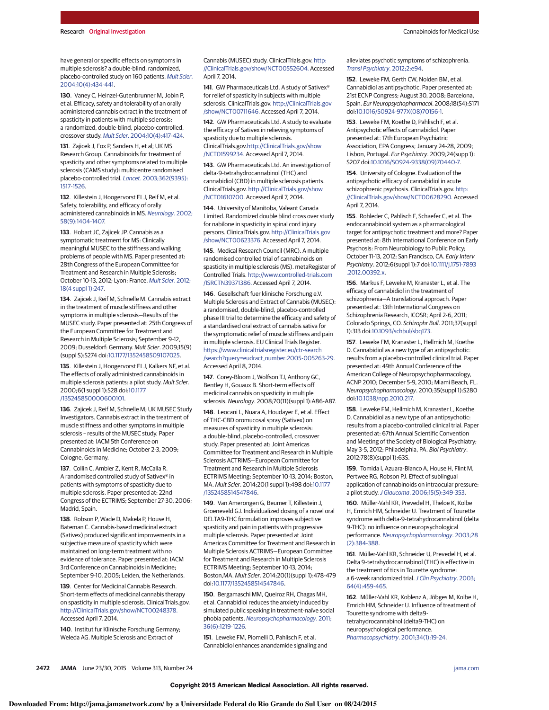have general or specific effects on symptoms in multiple sclerosis? a double-blind, randomized, placebo-controlled study on 160 patients. [Mult Scler](http://www.ncbi.nlm.nih.gov/pubmed/15327042). [2004;10\(4\):434-441.](http://www.ncbi.nlm.nih.gov/pubmed/15327042)

**130**. Vaney C, Heinzel-Gutenbrunner M, Jobin P, et al. Efficacy, safety and tolerability of an orally administered cannabis extract in the treatment of spasticity in patients with multiple sclerosis: a randomized, double-blind, placebo-controlled, crossover study. Mult Scler[. 2004;10\(4\):417-424.](http://www.ncbi.nlm.nih.gov/pubmed/15327040)

**131**. Zajicek J, Fox P, Sanders H, et al; UK MS Research Group. Cannabinoids for treatment of spasticity and other symptoms related to multiple sclerosis (CAMS study): multicentre randomised placebo-controlled trial. Lancet[. 2003;362\(9395\):](http://www.ncbi.nlm.nih.gov/pubmed/14615106) [1517-1526.](http://www.ncbi.nlm.nih.gov/pubmed/14615106)

**132**. Killestein J, Hoogervorst ELJ, Reif M, et al. Safety, tolerability, and efficacy of orally administered cannabinoids in MS. [Neurology](http://www.ncbi.nlm.nih.gov/pubmed/12011290). 2002; [58\(9\):1404-1407.](http://www.ncbi.nlm.nih.gov/pubmed/12011290)

**133**. Hobart JC, Zajicek JP. Cannabis as a symptomatic treatment for MS: Clinically meaningful MUSEC to the stiffness and walking problems of people with MS. Paper presented at: 28th Congress of the European Committee for Treatment and Research in Multiple Sclerosis; October 10-13, 2012; Lyon: France. [Mult Scler](http://www.ncbi.nlm.nih.gov/pubmed/23030018). 2012; [18\(4 suppl 1\):247.](http://www.ncbi.nlm.nih.gov/pubmed/23030018)

**134**. Zajicek J, Reif M, Schnelle M. Cannabis extract in the treatment of muscle stiffness and other symptoms in multiple sclerosis—Results of the MUSEC study. Paper presented at: 25th Congress of the European Committee for Treatment and Research in Multiple Sclerosis; September 9-12, 2009; Dusseldorf: Germany. Mult Scler. 2009;15(9) (suppl S):S274 doi[:10.1177/1352458509107025.](http://dx.doi.org/10.1177/1352458509107025)

**135**. Killestein J, Hoogervorst ELJ, Kalkers NF, et al. The effects of orally administred cannabinoids in multiple sclerosis patients: a pilot study. Mult Scler. 2000;6(1 suppl 1):S28 doi[:10.1177](http://dx.doi.org/10.1177/135245850000600101) [/135245850000600101.](http://dx.doi.org/10.1177/135245850000600101)

**136**. Zajicek J, Reif M, Schnelle M; UK MUSEC Study Investigators. Cannabis extract in the treatment of muscle stiffness and other symptoms in multiple sclerosis – results of the MUSEC study. Paper presented at: IACM 5th Conference on Cannabinoids in Medicine; October 2-3, 2009; Cologne, Germany.

**137**. Collin C, Ambler Z, Kent R, McCalla R. A randomised controlled study of Sativex® in patients with symptoms of spasticity due to multiple sclerosis. Paper presented at: 22nd Congress of the ECTRIMS; September 27-30, 2006; Madrid, Spain.

**138**. Robson P, Wade D, Makela P, House H, Bateman C. Cannabis-based medicinal extract (Sativex) produced significant improvements in a subjective measure of spasticity which were maintained on long-term treatment with no evidence of tolerance. Paper presented at: IACM 3rd Conference on Cannabinoids in Medicine; September 9-10, 2005; Leiden, the Netherlands.

**139**. Center for Medicinal Cannabis Research. Short-term effects of medicinal cannabis therapy on spasticity in multiple sclerosis. ClinicalTrials.gov. [http://ClinicalTrials.gov/show/NCT00248378.](http://ClinicalTrials.gov/show/NCT00248378) Accessed April 7, 2014.

**140**. Institut fur Klinische Forschung Germany; Weleda AG. Multiple Sclerosis and Extract of

Cannabis (MUSEC) study. ClinicalTrials.gov. [http:](http://ClinicalTrials.gov/show/NCT00552604) [//ClinicalTrials.gov/show/NCT00552604.](http://ClinicalTrials.gov/show/NCT00552604) Accessed April 7, 2014.

141. GW Pharmaceuticals Ltd. A study of Sativex® for relief of spasticity in subjects with multiple sclerosis. ClinicalTrials.gov. [http://ClinicalTrials.gov](http://ClinicalTrials.gov/show/NCT00711646) [/show/NCT00711646.](http://ClinicalTrials.gov/show/NCT00711646) Accessed April 7, 2014.

**142**. GW Pharmaceuticals Ltd. A study to evaluate the efficacy of Sativex in relieving symptoms of spasticity due to multiple sclerosis. ClinicalTrials.gov[.http://ClinicalTrials.gov/show](http://ClinicalTrials.gov/show/NCT01599234) [/NCT01599234.](http://ClinicalTrials.gov/show/NCT01599234) Accessed April 7, 2014.

**143**. GW Pharmaceuticals Ltd. An investigation of delta-9-tetrahydrocannabinol (THC) and cannabidiol (CBD) in multiple sclerosis patients. ClinicalTrials.gov. [http://ClinicalTrials.gov/show](http://ClinicalTrials.gov/show/NCT01610700) [/NCT01610700.](http://ClinicalTrials.gov/show/NCT01610700) Accessed April 7, 2014.

**144**. University of Manitoba, Valeant Canada Limited. Randomized double blind cross over study for nabilone in spasticity in spinal cord injury persons. ClinicalTrials.gov. [http://ClinicalTrials.gov](http://ClinicalTrials.gov/show/NCT00623376) [/show/NCT00623376.](http://ClinicalTrials.gov/show/NCT00623376) Accessed April 7, 2014.

**145**. Medical Research Council (MRC). A multiple randomised controlled trial of cannabinoids on spasticity in multiple sclerosis (MS). metaRegister of Controlled Trials. [http://www.controlled-trials.com](http://www.controlled-trials.com/ISRCTN39371386) [/ISRCTN39371386.](http://www.controlled-trials.com/ISRCTN39371386) Accessed April 7, 2014.

**146**. Gesellschaft fuer klinische Forschung e.V. Multiple Sclerosis and Extract of Cannabis (MUSEC): a randomised, double-blind, placebo-controlled phase III trial to determine the efficacy and safety of a standardised oral extract of cannabis sativa for the symptomatic relief of muscle stiffness and pain in multiple sclerosis. EU Clinical Trials Register. [https://www.clinicaltrialsregister.eu/ctr-search](https://www.clinicaltrialsregister.eu/ctr-search/search?query=eudract_number:2005-005263-29) [/search?query=eudract\\_number:2005-005263-29.](https://www.clinicaltrialsregister.eu/ctr-search/search?query=eudract_number:2005-005263-29) Accessed April 8, 2014.

**147**. Corey-Bloom J, Wolfson TJ, Anthony GC, Bentley H, Gouaux B. Short-term effects off medicinal cannabis on spasticity in multiple sclerosis. Neurology. 2008;70(11)(suppl 1):A86-A87.

**148**. Leocani L, Nuara A, Houdayer E, et al. Effect of THC-CBD oromucosal spray (Sativex) on measures of spasticity in multiple sclerosis: a double-blind, placebo-controlled, crossover study. Paper presented at: Joint Americas Committee for Treatment and Research in Multiple Sclerosis ACTRIMS—European Committee for Treatment and Research in Multiple Sclerosis ECTRIMS Meeting; September 10-13, 2014; Boston, MA. Mult Scler. 2014;20(1 suppl 1):498 doi[:10.1177](http://dx.doi.org/10.1177/1352458514547846) [/1352458514547846.](http://dx.doi.org/10.1177/1352458514547846)

**149**. Van Amerongen G, Beumer T, Killestein J, Groeneveld GJ. Individualized dosing of a novel oral DELTA9-THC formulation improves subjective spasticity and pain in patients with progressive multiple sclerosis. Paper presented at Joint Americas Committee for Treatment and Research in Multiple Sclerosis ACTRIMS—European Committee for Treatment and Research in Multiple Sclerosis ECTRIMS Meeting; September 10-13, 2014; Boston,MA. Mult Scler. 2014;20(1)(suppl 1):478-479 doi[:10.1177/1352458514547846.](http://dx.doi.org/10.1177/1352458514547846)

**150**. Bergamaschi MM, Queiroz RH, Chagas MH, et al. Cannabidiol reduces the anxiety induced by simulated public speaking in treatment-naïve social phobia patients. [Neuropsychopharmacology](http://www.ncbi.nlm.nih.gov/pubmed/21307846). 2011; [36\(6\):1219-1226.](http://www.ncbi.nlm.nih.gov/pubmed/21307846)

**151**. Leweke FM, Piomelli D, Pahlisch F, et al. Cannabidiol enhances anandamide signaling and alleviates psychotic symptoms of schizophrenia. [Transl Psychiatry](http://www.ncbi.nlm.nih.gov/pubmed/22832859). 2012;2:e94.

**152**. Leweke FM, Gerth CW, Nolden BM, et al. Cannabidiol as antipsychotic. Paper presented at: 21st ECNP Congress; August 30, 2008; Barcelona, Spain. Eur Neuropsychopharmacol. 2008;18(S4):S171 doi[:10.1016/S0924-977X\(08\)70156-1.](http://dx.doi.org/10.1016/S0924-977X(08)70156-1)

**153**. Leweke FM, Koethe D, Pahlisch F, et al. Antipsychotic effects of cannabidiol. Paper presented at: 17th European Psychiatric Association, EPA Congress; January 24-28, 2009; Lisbon, Portugal. Eur Psychiatry. 2009;24(supp 1): S207 doi[:10.1016/S0924-9338\(09\)70440-7.](http://dx.doi.org/10.1016/S0924-9338(09)70440-7)

**154**. University of Cologne. Evaluation of the antipsychotic efficacy of cannabidiol in acute schizophrenic psychosis. ClinicalTrials.gov. [http:](http://ClinicalTrials.gov/show/NCT00628290) [//ClinicalTrials.gov/show/NCT00628290.](http://ClinicalTrials.gov/show/NCT00628290) Accessed April 7, 2014.

**155**. Rohleder C, Pahlisch F, Schaefer C, et al. The endocannabinoid system as a pharmacological target for antipsychotic treatment and more? Paper presented at: 8th International Conference on Early Psychosis: From Neurobiology to Public Policy; October 11-13, 2012; San Francisco, CA. Early Interv Psychiatry. 2012;6(suppl 1):7 doi[:10.1111/j.1751-7893](http://dx.doi.org/10.1111/j.1751-7893.2012.00392.x) [.2012.00392.x.](http://dx.doi.org/10.1111/j.1751-7893.2012.00392.x)

**156**. Markus F, Leweke M, Kranaster L, et al. The efficacy of cannabidiol in the treatment of schizophrenia—A translational approach. Paper presented at: 13th International Congress on Schizophrenia Research, ICOSR; April 2-6, 2011; Colorado Springs, CO. Schizophr Bull. 2011;37(suppl 1):313 doi[:10.1093/schbul/sbq173.](http://dx.doi.org/10.1093/schbul/sbq173)

**157**. Leweke FM, Kranaster L, Hellmich M, Koethe D. Cannabidiol as a new type of an antipsychotic: results from a placebo-controlled clinical trial. Paper presented at: 49th Annual Conference of the American College of Neuropsychopharmacology, ACNP 2010; December 5-9, 2010; Miami Beach, FL. Neuropsychopharmacology. 2010;35(suppl 1):S280 doi[:10.1038/npp.2010.217.](http://dx.doi.org/10.1038/npp.2010.217)

**158**. Leweke FM, Hellmich M, Kranaster L, Koethe D. Cannabidiol as a new type of an antipsychotic: results from a placebo-controlled clinical trial. Paper presented at: 67th Annual Scientific Convention and Meeting of the Society of Biological Psychiatry; May 3-5, 2012; Philadelphia, PA. Biol Psychiatry. 2012;78(8)(suppl 1):63S.

**159**. Tomida I, Azuara-Blanco A, House H, Flint M, Pertwee RG, Robson PJ. Effect of sublingual application of cannabinoids on intraocular pressure: a pilot study. J Glaucoma[. 2006;15\(5\):349-353.](http://www.ncbi.nlm.nih.gov/pubmed/16988594)

**160**. Müller-Vahl KR, Prevedel H, Theloe K, Kolbe H, Emrich HM, Schneider U. Treatment of Tourette syndrome with delta-9-tetrahydrocannabinol (delta 9-THC): no influence on neuropsychological performance. [Neuropsychopharmacology](http://www.ncbi.nlm.nih.gov/pubmed/12589392). 2003;28 [\(2\):384-388.](http://www.ncbi.nlm.nih.gov/pubmed/12589392)

**161**. Müller-Vahl KR, Schneider U, Prevedel H, et al. Delta 9-tetrahydrocannabinol (THC) is effective in the treatment of tics in Tourette syndrome: a 6-week randomized trial. [J Clin Psychiatry](http://www.ncbi.nlm.nih.gov/pubmed/12716250). 2003; [64\(4\):459-465.](http://www.ncbi.nlm.nih.gov/pubmed/12716250)

**162**. Müller-Vahl KR, Koblenz A, Jöbges M, Kolbe H, Emrich HM, Schneider U. Influence of treatment of Tourette syndrome with delta9 tetrahydrocannabinol (delta9-THC) on neuropsychological performance. [Pharmacopsychiatry](http://www.ncbi.nlm.nih.gov/pubmed/11229617). 2001;34(1):19-24.